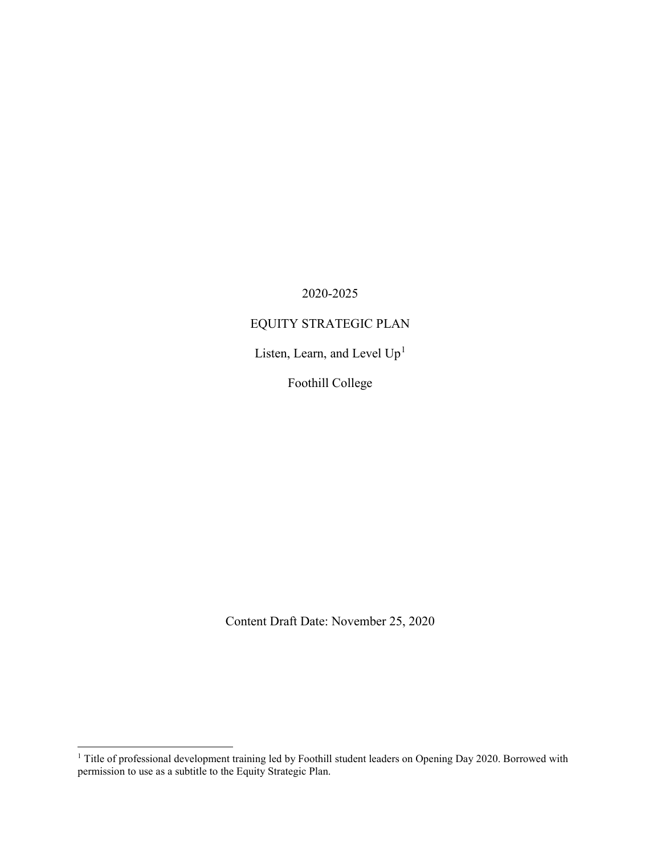2020-2025

# EQUITY STRATEGIC PLAN

Listen, Learn, and Level  $\rm Up^1$  $\rm Up^1$ 

Foothill College

Content Draft Date: November 25, 2020

<span id="page-0-0"></span><sup>&</sup>lt;sup>1</sup> Title of professional development training led by Foothill student leaders on Opening Day 2020. Borrowed with permission to use as a subtitle to the Equity Strategic Plan.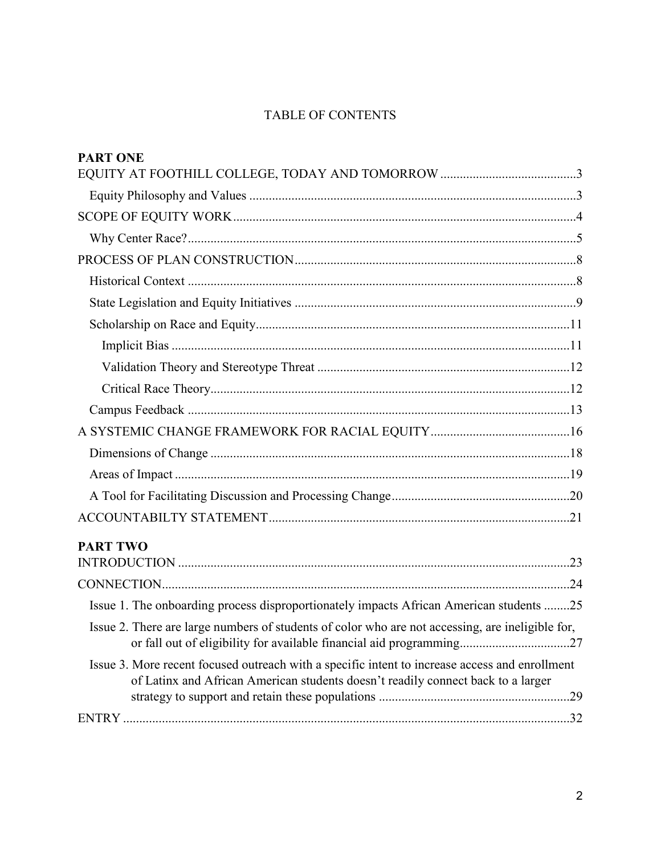# TABLE OF CONTENTS

| <b>PART ONE</b>                                                                                                                                                                    |  |
|------------------------------------------------------------------------------------------------------------------------------------------------------------------------------------|--|
|                                                                                                                                                                                    |  |
|                                                                                                                                                                                    |  |
|                                                                                                                                                                                    |  |
|                                                                                                                                                                                    |  |
|                                                                                                                                                                                    |  |
|                                                                                                                                                                                    |  |
|                                                                                                                                                                                    |  |
|                                                                                                                                                                                    |  |
|                                                                                                                                                                                    |  |
|                                                                                                                                                                                    |  |
|                                                                                                                                                                                    |  |
|                                                                                                                                                                                    |  |
|                                                                                                                                                                                    |  |
|                                                                                                                                                                                    |  |
|                                                                                                                                                                                    |  |
|                                                                                                                                                                                    |  |
|                                                                                                                                                                                    |  |
| <b>PART TWO</b>                                                                                                                                                                    |  |
|                                                                                                                                                                                    |  |
|                                                                                                                                                                                    |  |
| Issue 1. The onboarding process disproportionately impacts African American students 25                                                                                            |  |
| Issue 2. There are large numbers of students of color who are not accessing, are ineligible for,<br>or fall out of eligibility for available financial aid programming27           |  |
| Issue 3. More recent focused outreach with a specific intent to increase access and enrollment<br>of Latinx and African American students doesn't readily connect back to a larger |  |
|                                                                                                                                                                                    |  |
|                                                                                                                                                                                    |  |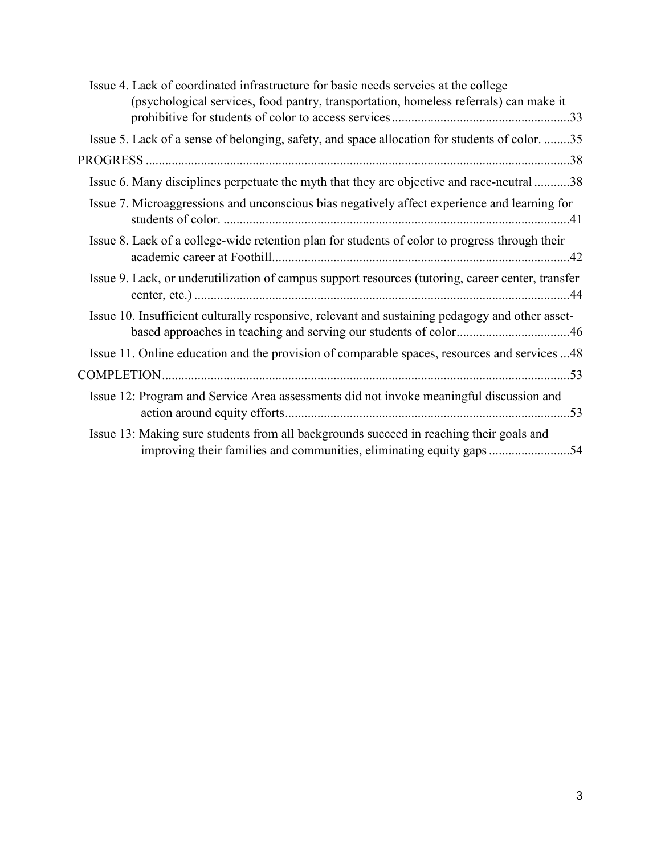| Issue 4. Lack of coordinated infrastructure for basic needs serveies at the college<br>(psychological services, food pantry, transportation, homeless referrals) can make it |
|------------------------------------------------------------------------------------------------------------------------------------------------------------------------------|
| Issue 5. Lack of a sense of belonging, safety, and space allocation for students of color. 35                                                                                |
|                                                                                                                                                                              |
| Issue 6. Many disciplines perpetuate the myth that they are objective and race-neutral 38                                                                                    |
| Issue 7. Microaggressions and unconscious bias negatively affect experience and learning for                                                                                 |
| Issue 8. Lack of a college-wide retention plan for students of color to progress through their                                                                               |
| Issue 9. Lack, or underutilization of campus support resources (tutoring, career center, transfer                                                                            |
| Issue 10. Insufficient culturally responsive, relevant and sustaining pedagogy and other asset-                                                                              |
| Issue 11. Online education and the provision of comparable spaces, resources and services 48                                                                                 |
|                                                                                                                                                                              |
| Issue 12: Program and Service Area assessments did not invoke meaningful discussion and                                                                                      |
| Issue 13: Making sure students from all backgrounds succeed in reaching their goals and<br>improving their families and communities, eliminating equity gaps 54              |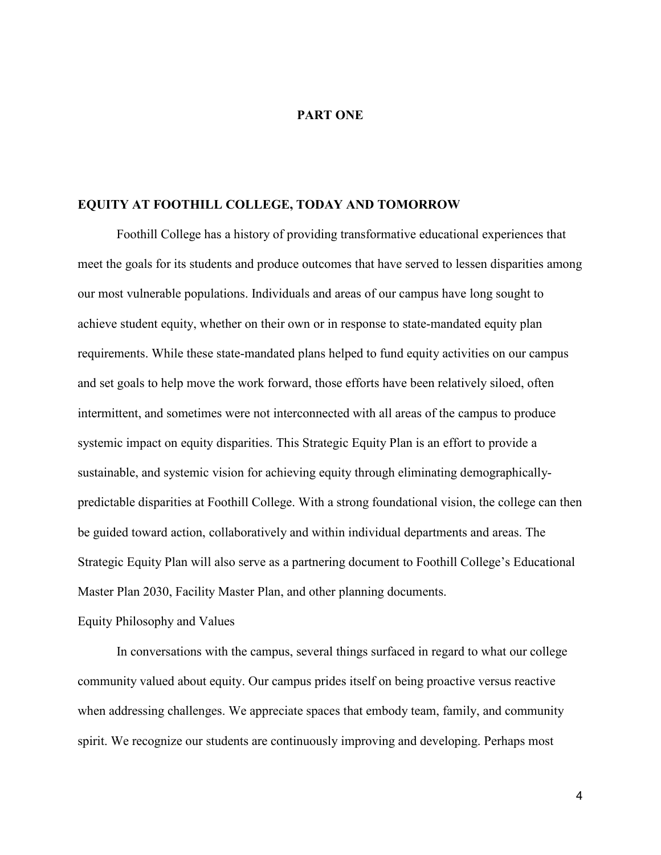# **PART ONE**

# **EQUITY AT FOOTHILL COLLEGE, TODAY AND TOMORROW**

Foothill College has a history of providing transformative educational experiences that meet the goals for its students and produce outcomes that have served to lessen disparities among our most vulnerable populations. Individuals and areas of our campus have long sought to achieve student equity, whether on their own or in response to state-mandated equity plan requirements. While these state-mandated plans helped to fund equity activities on our campus and set goals to help move the work forward, those efforts have been relatively siloed, often intermittent, and sometimes were not interconnected with all areas of the campus to produce systemic impact on equity disparities. This Strategic Equity Plan is an effort to provide a sustainable, and systemic vision for achieving equity through eliminating demographicallypredictable disparities at Foothill College. With a strong foundational vision, the college can then be guided toward action, collaboratively and within individual departments and areas. The Strategic Equity Plan will also serve as a partnering document to Foothill College's Educational Master Plan 2030, Facility Master Plan, and other planning documents.

# Equity Philosophy and Values

In conversations with the campus, several things surfaced in regard to what our college community valued about equity. Our campus prides itself on being proactive versus reactive when addressing challenges. We appreciate spaces that embody team, family, and community spirit. We recognize our students are continuously improving and developing. Perhaps most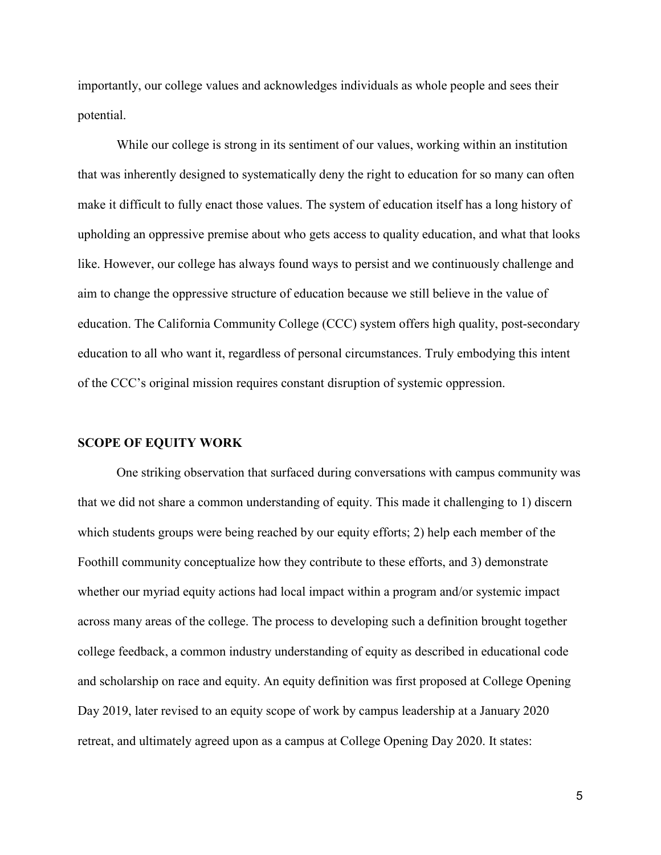importantly, our college values and acknowledges individuals as whole people and sees their potential.

While our college is strong in its sentiment of our values, working within an institution that was inherently designed to systematically deny the right to education for so many can often make it difficult to fully enact those values. The system of education itself has a long history of upholding an oppressive premise about who gets access to quality education, and what that looks like. However, our college has always found ways to persist and we continuously challenge and aim to change the oppressive structure of education because we still believe in the value of education. The California Community College (CCC) system offers high quality, post-secondary education to all who want it, regardless of personal circumstances. Truly embodying this intent of the CCC's original mission requires constant disruption of systemic oppression.

#### **SCOPE OF EQUITY WORK**

One striking observation that surfaced during conversations with campus community was that we did not share a common understanding of equity. This made it challenging to 1) discern which students groups were being reached by our equity efforts; 2) help each member of the Foothill community conceptualize how they contribute to these efforts, and 3) demonstrate whether our myriad equity actions had local impact within a program and/or systemic impact across many areas of the college. The process to developing such a definition brought together college feedback, a common industry understanding of equity as described in educational code and scholarship on race and equity. An equity definition was first proposed at College Opening Day 2019, later revised to an equity scope of work by campus leadership at a January 2020 retreat, and ultimately agreed upon as a campus at College Opening Day 2020. It states:

5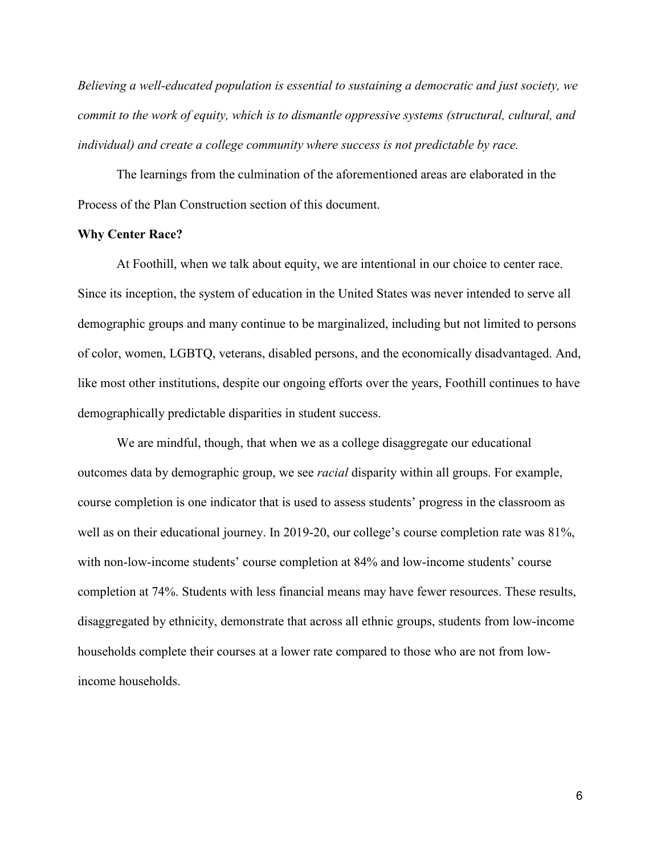*Believing a well-educated population is essential to sustaining a democratic and just society, we commit to the work of equity, which is to dismantle oppressive systems (structural, cultural, and individual) and create a college community where success is not predictable by race.*

The learnings from the culmination of the aforementioned areas are elaborated in the Process of the Plan Construction section of this document.

#### **Why Center Race?**

At Foothill, when we talk about equity, we are intentional in our choice to center race. Since its inception, the system of education in the United States was never intended to serve all demographic groups and many continue to be marginalized, including but not limited to persons of color, women, LGBTQ, veterans, disabled persons, and the economically disadvantaged. And, like most other institutions, despite our ongoing efforts over the years, Foothill continues to have demographically predictable disparities in student success.

We are mindful, though, that when we as a college disaggregate our educational outcomes data by demographic group, we see *racial* disparity within all groups. For example, course completion is one indicator that is used to assess students' progress in the classroom as well as on their educational journey. In 2019-20, our college's course completion rate was 81%, with non-low-income students' course completion at 84% and low-income students' course completion at 74%. Students with less financial means may have fewer resources. These results, disaggregated by ethnicity, demonstrate that across all ethnic groups, students from low-income households complete their courses at a lower rate compared to those who are not from lowincome households.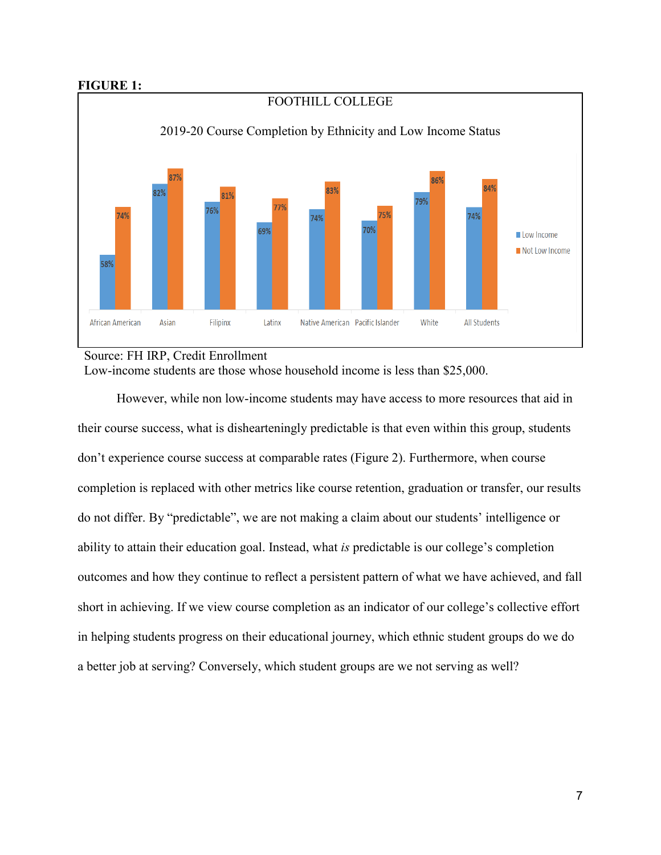# **FIGURE 1:**



# Source: FH IRP, Credit Enrollment Low-income students are those whose household income is less than \$25,000.

However, while non low-income students may have access to more resources that aid in their course success, what is dishearteningly predictable is that even within this group, students don't experience course success at comparable rates (Figure 2). Furthermore, when course completion is replaced with other metrics like course retention, graduation or transfer, our results do not differ. By "predictable", we are not making a claim about our students' intelligence or ability to attain their education goal. Instead, what *is* predictable is our college's completion outcomes and how they continue to reflect a persistent pattern of what we have achieved, and fall short in achieving. If we view course completion as an indicator of our college's collective effort in helping students progress on their educational journey, which ethnic student groups do we do a better job at serving? Conversely, which student groups are we not serving as well?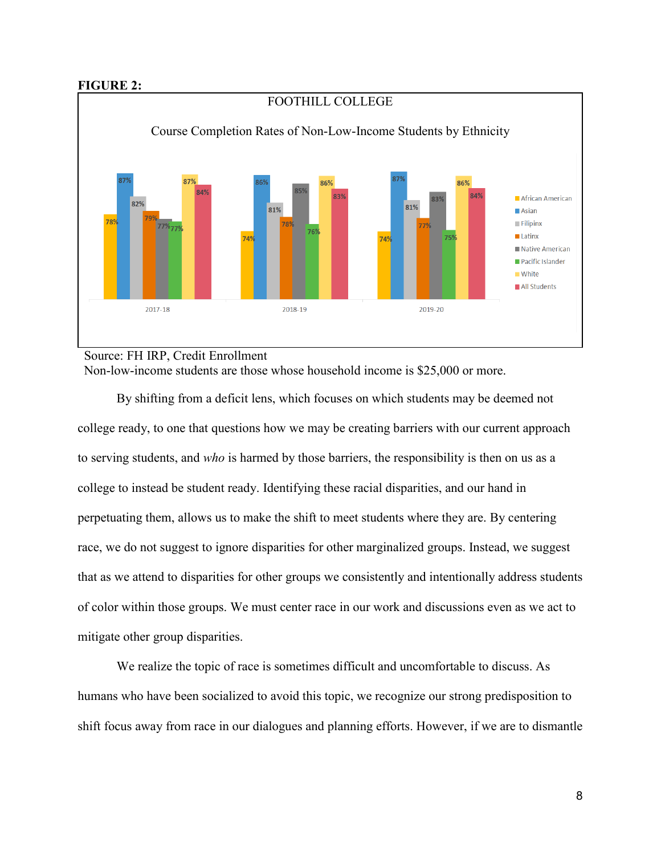# **FIGURE 2:**



Source: FH IRP, Credit Enrollment Non-low-income students are those whose household income is \$25,000 or more.

By shifting from a deficit lens, which focuses on which students may be deemed not college ready, to one that questions how we may be creating barriers with our current approach to serving students, and *who* is harmed by those barriers, the responsibility is then on us as a college to instead be student ready. Identifying these racial disparities, and our hand in perpetuating them, allows us to make the shift to meet students where they are. By centering race, we do not suggest to ignore disparities for other marginalized groups. Instead, we suggest that as we attend to disparities for other groups we consistently and intentionally address students of color within those groups. We must center race in our work and discussions even as we act to mitigate other group disparities.

We realize the topic of race is sometimes difficult and uncomfortable to discuss. As humans who have been socialized to avoid this topic, we recognize our strong predisposition to shift focus away from race in our dialogues and planning efforts. However, if we are to dismantle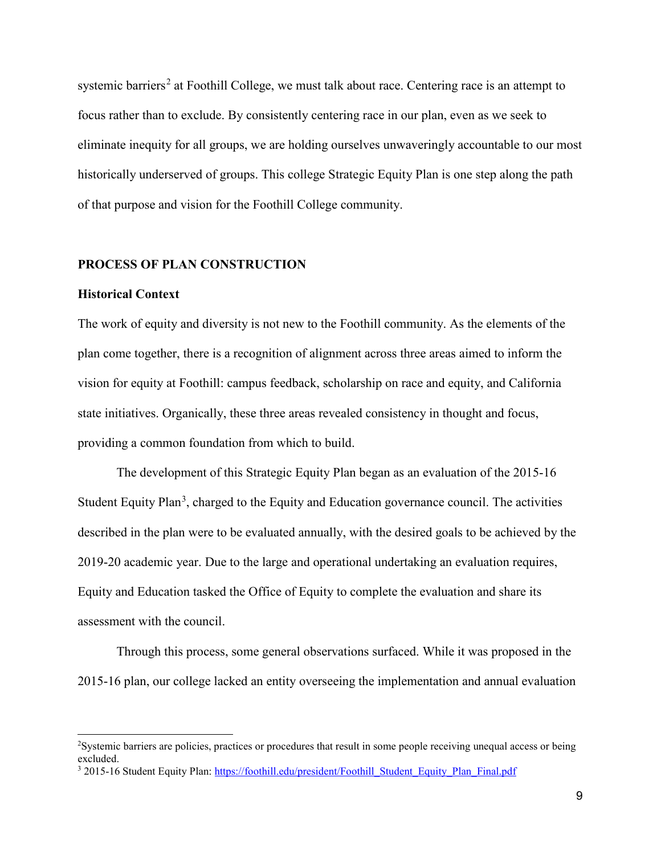systemic barriers<sup>[2](#page-8-0)</sup> at Foothill College, we must talk about race. Centering race is an attempt to focus rather than to exclude. By consistently centering race in our plan, even as we seek to eliminate inequity for all groups, we are holding ourselves unwaveringly accountable to our most historically underserved of groups. This college Strategic Equity Plan is one step along the path of that purpose and vision for the Foothill College community.

### **PROCESS OF PLAN CONSTRUCTION**

#### **Historical Context**

 $\overline{a}$ 

The work of equity and diversity is not new to the Foothill community. As the elements of the plan come together, there is a recognition of alignment across three areas aimed to inform the vision for equity at Foothill: campus feedback, scholarship on race and equity, and California state initiatives. Organically, these three areas revealed consistency in thought and focus, providing a common foundation from which to build.

The development of this Strategic Equity Plan began as an evaluation of the 2015-16 Student Equity Plan<sup>[3](#page-8-1)</sup>, charged to the Equity and Education governance council. The activities described in the plan were to be evaluated annually, with the desired goals to be achieved by the 2019-20 academic year. Due to the large and operational undertaking an evaluation requires, Equity and Education tasked the Office of Equity to complete the evaluation and share its assessment with the council.

Through this process, some general observations surfaced. While it was proposed in the 2015-16 plan, our college lacked an entity overseeing the implementation and annual evaluation

<span id="page-8-0"></span><sup>&</sup>lt;sup>2</sup>Systemic barriers are policies, practices or procedures that result in some people receiving unequal access or being excluded.

<span id="page-8-1"></span><sup>&</sup>lt;sup>3</sup> 2015-16 Student Equity Plan: [https://foothill.edu/president/Foothill\\_Student\\_Equity\\_Plan\\_Final.pdf](https://foothill.edu/president/Foothill_Student_Equity_Plan_Final.pdf)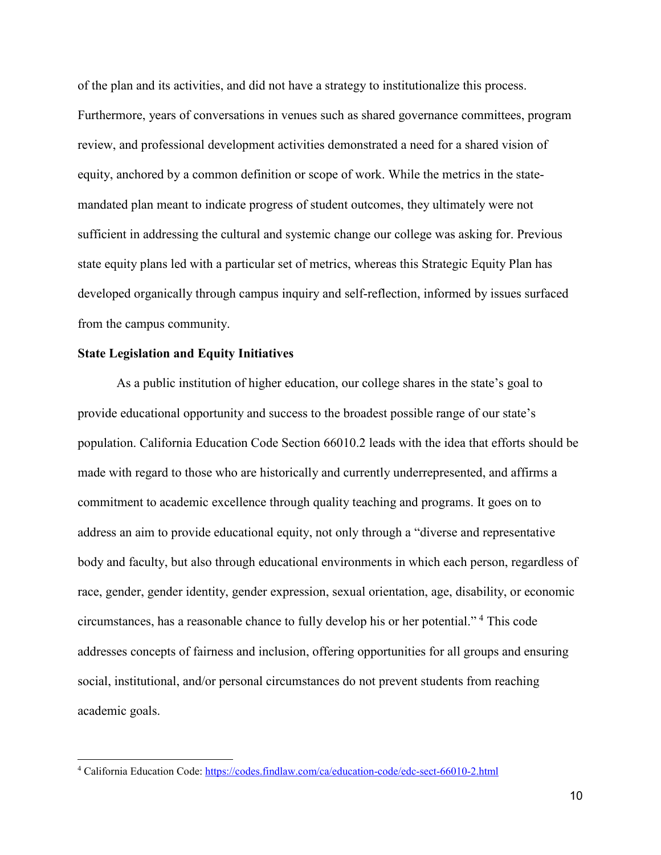of the plan and its activities, and did not have a strategy to institutionalize this process. Furthermore, years of conversations in venues such as shared governance committees, program review, and professional development activities demonstrated a need for a shared vision of equity, anchored by a common definition or scope of work. While the metrics in the statemandated plan meant to indicate progress of student outcomes, they ultimately were not sufficient in addressing the cultural and systemic change our college was asking for. Previous state equity plans led with a particular set of metrics, whereas this Strategic Equity Plan has developed organically through campus inquiry and self-reflection, informed by issues surfaced from the campus community.

# **State Legislation and Equity Initiatives**

 $\overline{a}$ 

As a public institution of higher education, our college shares in the state's goal to provide educational opportunity and success to the broadest possible range of our state's population. California Education Code Section 66010.2 leads with the idea that efforts should be made with regard to those who are historically and currently underrepresented, and affirms a commitment to academic excellence through quality teaching and programs. It goes on to address an aim to provide educational equity, not only through a "diverse and representative body and faculty, but also through educational environments in which each person, regardless of race, gender, gender identity, gender expression, sexual orientation, age, disability, or economic circumstances, has a reasonable chance to fully develop his or her potential." [4](#page-9-0) This code addresses concepts of fairness and inclusion, offering opportunities for all groups and ensuring social, institutional, and/or personal circumstances do not prevent students from reaching academic goals.

<span id="page-9-0"></span><sup>4</sup> California Education Code:<https://codes.findlaw.com/ca/education-code/edc-sect-66010-2.html>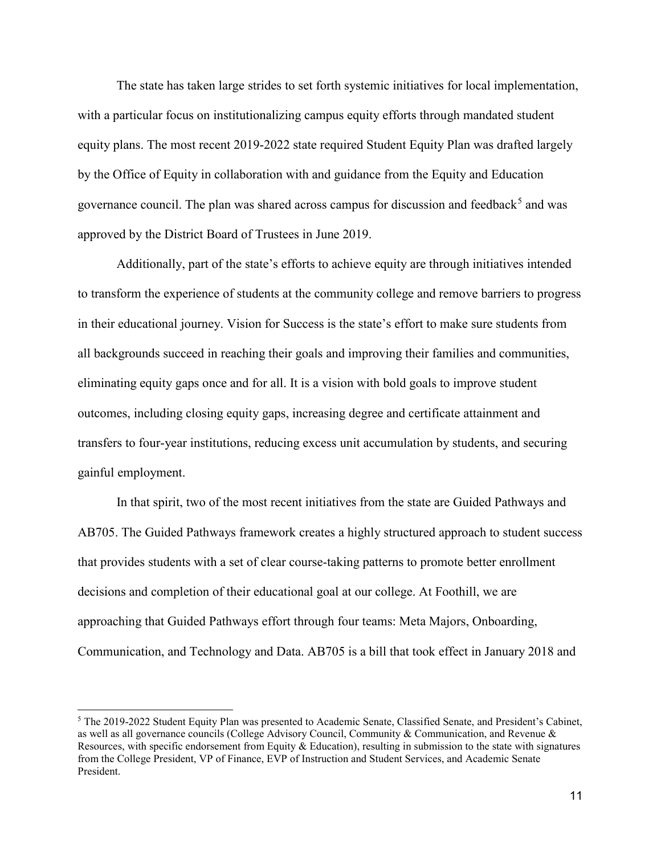The state has taken large strides to set forth systemic initiatives for local implementation, with a particular focus on institutionalizing campus equity efforts through mandated student equity plans. The most recent 2019-2022 state required Student Equity Plan was drafted largely by the Office of Equity in collaboration with and guidance from the Equity and Education governance council. The plan was shared across campus for discussion and feedback<sup>[5](#page-10-0)</sup> and was approved by the District Board of Trustees in June 2019.

Additionally, part of the state's efforts to achieve equity are through initiatives intended to transform the experience of students at the community college and remove barriers to progress in their educational journey. Vision for Success is the state's effort to make sure students from all backgrounds succeed in reaching their goals and improving their families and communities, eliminating equity gaps once and for all. It is a vision with bold goals to improve student outcomes, including closing equity gaps, increasing degree and certificate attainment and transfers to four-year institutions, reducing excess unit accumulation by students, and securing gainful employment.

In that spirit, two of the most recent initiatives from the state are Guided Pathways and AB705. The Guided Pathways framework creates a highly structured approach to student success that provides students with a set of clear course-taking patterns to promote better enrollment decisions and completion of their educational goal at our college. At Foothill, we are approaching that Guided Pathways effort through four teams: Meta Majors, Onboarding, Communication, and Technology and Data. AB705 is a bill that took effect in January 2018 and

<span id="page-10-0"></span><sup>5</sup> The 2019-2022 Student Equity Plan was presented to Academic Senate, Classified Senate, and President's Cabinet, as well as all governance councils (College Advisory Council, Community & Communication, and Revenue & Resources, with specific endorsement from Equity & Education), resulting in submission to the state with signatures from the College President, VP of Finance, EVP of Instruction and Student Services, and Academic Senate President.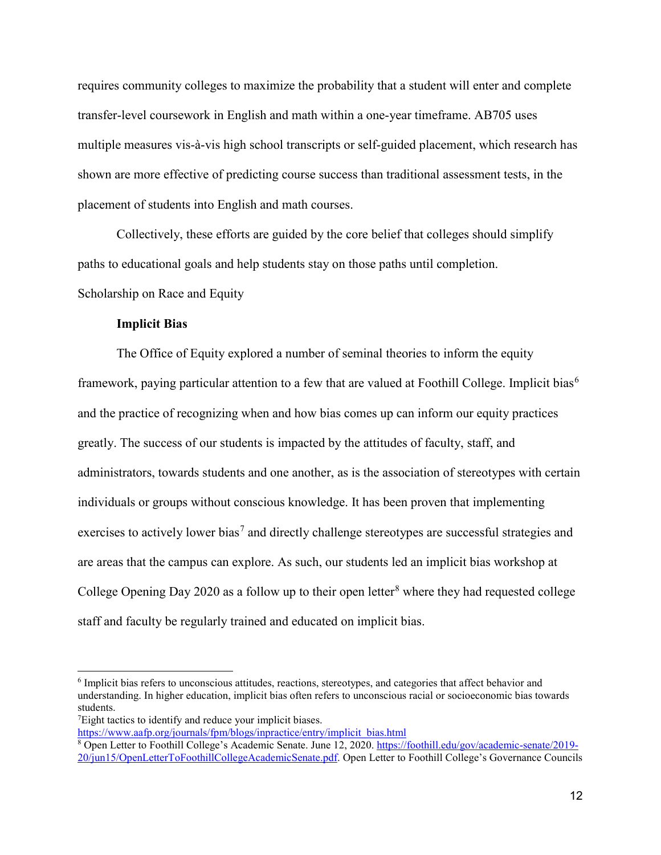requires community colleges to maximize the probability that a student will enter and complete transfer-level coursework in English and math within a one-year timeframe. AB705 uses multiple measures vis-à-vis high school transcripts or self-guided placement, which research has shown are more effective of predicting course success than traditional assessment tests, in the placement of students into English and math courses.

Collectively, these efforts are guided by the core belief that colleges should simplify paths to educational goals and help students stay on those paths until completion. Scholarship on Race and Equity

# **Implicit Bias**

The Office of Equity explored a number of seminal theories to inform the equity framework, paying particular attention to a few that are valued at Foothill College. Implicit bias<sup>[6](#page-11-0)</sup> and the practice of recognizing when and how bias comes up can inform our equity practices greatly. The success of our students is impacted by the attitudes of faculty, staff, and administrators, towards students and one another, as is the association of stereotypes with certain individuals or groups without conscious knowledge. It has been proven that implementing exercises to actively lower bias<sup>[7](#page-11-1)</sup> and directly challenge stereotypes are successful strategies and are areas that the campus can explore. As such, our students led an implicit bias workshop at College Opening Day 2020 as a follow up to their open letter<sup>[8](#page-11-2)</sup> where they had requested college staff and faculty be regularly trained and educated on implicit bias.

 $\overline{a}$ 

[https://www.aafp.org/journals/fpm/blogs/inpractice/entry/implicit\\_bias.html](https://www.aafp.org/journals/fpm/blogs/inpractice/entry/implicit_bias.html)

<span id="page-11-0"></span><sup>6</sup> Implicit bias refers to unconscious attitudes, reactions, stereotypes, and categories that affect behavior and understanding. In higher education, implicit bias often refers to unconscious racial or socioeconomic bias towards students.

<span id="page-11-1"></span><sup>&</sup>lt;sup>7</sup>Eight tactics to identify and reduce your implicit biases.

<span id="page-11-2"></span><sup>8</sup> Open Letter to Foothill College's Academic Senate. June 12, 2020. [https://foothill.edu/gov/academic-senate/2019-](https://foothill.edu/gov/academic-senate/2019-20/jun15/OpenLetterToFoothillCollegeAcademicSenate.pdf) [20/jun15/OpenLetterToFoothillCollegeAcademicSenate.pdf.](https://foothill.edu/gov/academic-senate/2019-20/jun15/OpenLetterToFoothillCollegeAcademicSenate.pdf) Open Letter to Foothill College's Governance Councils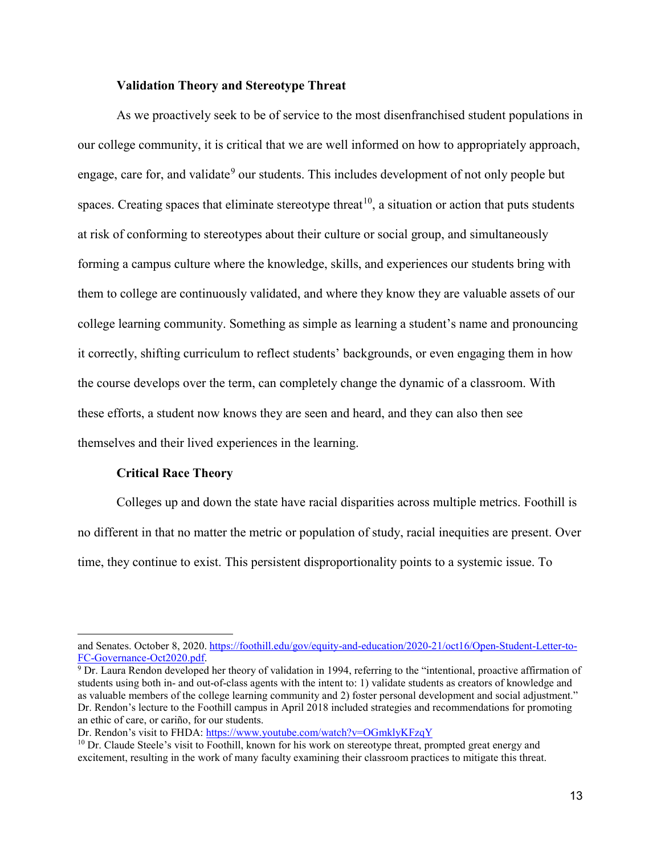# **Validation Theory and Stereotype Threat**

As we proactively seek to be of service to the most disenfranchised student populations in our college community, it is critical that we are well informed on how to appropriately approach, engage, care for, and validate<sup>[9](#page-12-0)</sup> our students. This includes development of not only people but spaces. Creating spaces that eliminate stereotype threat<sup>10</sup>, a situation or action that puts students at risk of conforming to stereotypes about their culture or social group, and simultaneously forming a campus culture where the knowledge, skills, and experiences our students bring with them to college are continuously validated, and where they know they are valuable assets of our college learning community. Something as simple as learning a student's name and pronouncing it correctly, shifting curriculum to reflect students' backgrounds, or even engaging them in how the course develops over the term, can completely change the dynamic of a classroom. With these efforts, a student now knows they are seen and heard, and they can also then see themselves and their lived experiences in the learning.

#### **Critical Race Theory**

 $\overline{a}$ 

Colleges up and down the state have racial disparities across multiple metrics. Foothill is no different in that no matter the metric or population of study, racial inequities are present. Over time, they continue to exist. This persistent disproportionality points to a systemic issue. To

and Senates. October 8, 2020. [https://foothill.edu/gov/equity-and-education/2020-21/oct16/Open-Student-Letter-to-](https://foothill.edu/gov/equity-and-education/2020-21/oct16/Open-Student-Letter-to-FC-Governance-Oct2020.pdf)FC-Governance-Oct2020.pdf.<br><sup>9</sup> Dr. Laura Rendon developed her theory of validation in 1994, referring to the "intentional, proactive affirmation of

<span id="page-12-0"></span>students using both in- and out-of-class agents with the intent to: 1) validate students as creators of knowledge and as valuable members of the college learning community and 2) foster personal development and social adjustment." Dr. Rendon's lecture to the Foothill campus in April 2018 included strategies and recommendations for promoting an ethic of care, or cariño, for our students.

Dr. Rendon's visit to FHDA:<https://www.youtube.com/watch?v=OGmklyKFzqY>

<span id="page-12-1"></span> $10$  Dr. Claude Steele's visit to Foothill, known for his work on stereotype threat, prompted great energy and excitement, resulting in the work of many faculty examining their classroom practices to mitigate this threat.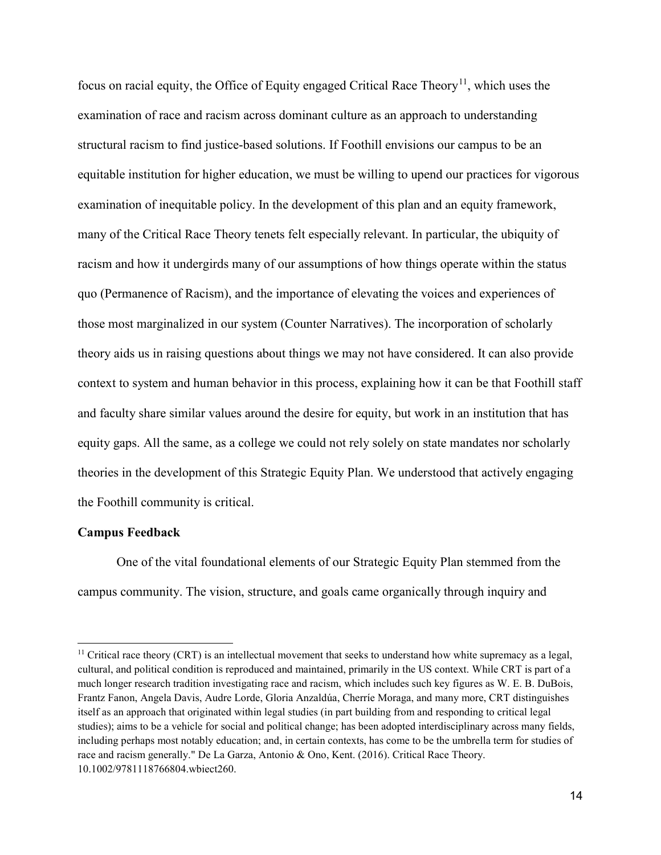focus on racial equity, the Office of Equity engaged Critical Race Theory<sup>[11](#page-13-0)</sup>, which uses the examination of race and racism across dominant culture as an approach to understanding structural racism to find justice-based solutions. If Foothill envisions our campus to be an equitable institution for higher education, we must be willing to upend our practices for vigorous examination of inequitable policy. In the development of this plan and an equity framework, many of the Critical Race Theory tenets felt especially relevant. In particular, the ubiquity of racism and how it undergirds many of our assumptions of how things operate within the status quo (Permanence of Racism), and the importance of elevating the voices and experiences of those most marginalized in our system (Counter Narratives). The incorporation of scholarly theory aids us in raising questions about things we may not have considered. It can also provide context to system and human behavior in this process, explaining how it can be that Foothill staff and faculty share similar values around the desire for equity, but work in an institution that has equity gaps. All the same, as a college we could not rely solely on state mandates nor scholarly theories in the development of this Strategic Equity Plan. We understood that actively engaging the Foothill community is critical.

#### **Campus Feedback**

 $\overline{a}$ 

One of the vital foundational elements of our Strategic Equity Plan stemmed from the campus community. The vision, structure, and goals came organically through inquiry and

<span id="page-13-0"></span> $11$  Critical race theory (CRT) is an intellectual movement that seeks to understand how white supremacy as a legal, cultural, and political condition is reproduced and maintained, primarily in the US context. While CRT is part of a much longer research tradition investigating race and racism, which includes such key figures as W. E. B. DuBois, Frantz Fanon, Angela Davis, Audre Lorde, Gloria Anzaldúa, Cherríe Moraga, and many more, CRT distinguishes itself as an approach that originated within legal studies (in part building from and responding to critical legal studies); aims to be a vehicle for social and political change; has been adopted interdisciplinary across many fields, including perhaps most notably education; and, in certain contexts, has come to be the umbrella term for studies of race and racism generally." De La Garza, Antonio & Ono, Kent. (2016). Critical Race Theory. 10.1002/9781118766804.wbiect260.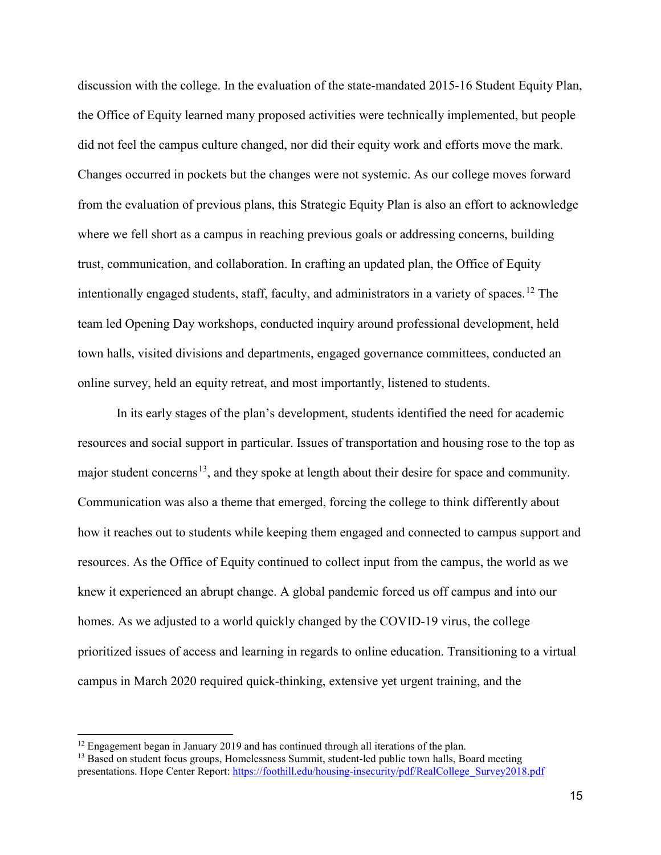discussion with the college. In the evaluation of the state-mandated 2015-16 Student Equity Plan, the Office of Equity learned many proposed activities were technically implemented, but people did not feel the campus culture changed, nor did their equity work and efforts move the mark. Changes occurred in pockets but the changes were not systemic. As our college moves forward from the evaluation of previous plans, this Strategic Equity Plan is also an effort to acknowledge where we fell short as a campus in reaching previous goals or addressing concerns, building trust, communication, and collaboration. In crafting an updated plan, the Office of Equity intentionally engaged students, staff, faculty, and administrators in a variety of spaces.<sup>[12](#page-14-0)</sup> The team led Opening Day workshops, conducted inquiry around professional development, held town halls, visited divisions and departments, engaged governance committees, conducted an online survey, held an equity retreat, and most importantly, listened to students.

In its early stages of the plan's development, students identified the need for academic resources and social support in particular. Issues of transportation and housing rose to the top as major student concerns<sup>[13](#page-14-1)</sup>, and they spoke at length about their desire for space and community. Communication was also a theme that emerged, forcing the college to think differently about how it reaches out to students while keeping them engaged and connected to campus support and resources. As the Office of Equity continued to collect input from the campus, the world as we knew it experienced an abrupt change. A global pandemic forced us off campus and into our homes. As we adjusted to a world quickly changed by the COVID-19 virus, the college prioritized issues of access and learning in regards to online education. Transitioning to a virtual campus in March 2020 required quick-thinking, extensive yet urgent training, and the

<span id="page-14-0"></span><sup>&</sup>lt;sup>12</sup> Engagement began in January 2019 and has continued through all iterations of the plan.  $13$  Based on student focus groups, Homelessness Summit, student-led public town halls, Board meeting

<span id="page-14-1"></span>presentations. Hope Center Report[: https://foothill.edu/housing-insecurity/pdf/RealCollege\\_Survey2018.pdf](https://foothill.edu/housing-insecurity/pdf/RealCollege_Survey2018.pdf)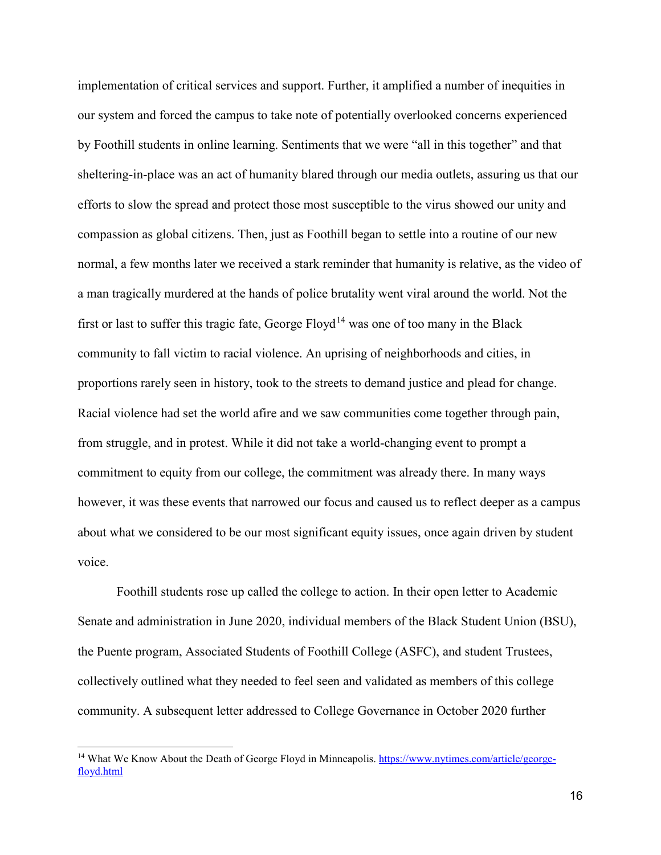implementation of critical services and support. Further, it amplified a number of inequities in our system and forced the campus to take note of potentially overlooked concerns experienced by Foothill students in online learning. Sentiments that we were "all in this together" and that sheltering-in-place was an act of humanity blared through our media outlets, assuring us that our efforts to slow the spread and protect those most susceptible to the virus showed our unity and compassion as global citizens. Then, just as Foothill began to settle into a routine of our new normal, a few months later we received a stark reminder that humanity is relative, as the video of a man tragically murdered at the hands of police brutality went viral around the world. Not the first or last to suffer this tragic fate, George Floyd<sup>[14](#page-15-0)</sup> was one of too many in the Black community to fall victim to racial violence. An uprising of neighborhoods and cities, in proportions rarely seen in history, took to the streets to demand justice and plead for change. Racial violence had set the world afire and we saw communities come together through pain, from struggle, and in protest. While it did not take a world-changing event to prompt a commitment to equity from our college, the commitment was already there. In many ways however, it was these events that narrowed our focus and caused us to reflect deeper as a campus about what we considered to be our most significant equity issues, once again driven by student voice.

Foothill students rose up called the college to action. In their open letter to Academic Senate and administration in June 2020, individual members of the Black Student Union (BSU), the Puente program, Associated Students of Foothill College (ASFC), and student Trustees, collectively outlined what they needed to feel seen and validated as members of this college community. A subsequent letter addressed to College Governance in October 2020 further

<span id="page-15-0"></span><sup>&</sup>lt;sup>14</sup> What We Know About the Death of George Floyd in Minneapolis. [https://www.nytimes.com/article/george](https://www.nytimes.com/article/george-floyd.html)[floyd.html](https://www.nytimes.com/article/george-floyd.html)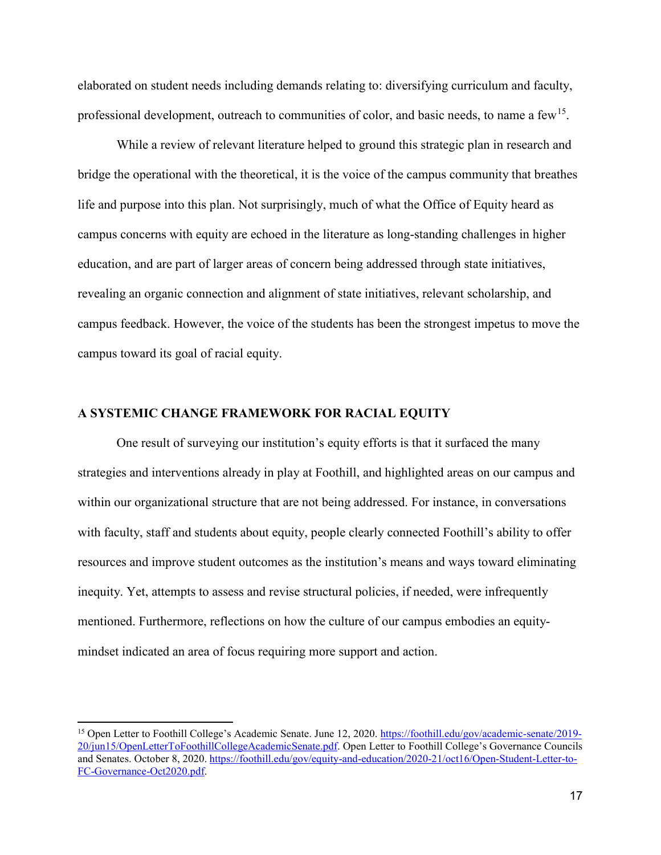elaborated on student needs including demands relating to: diversifying curriculum and faculty, professional development, outreach to communities of color, and basic needs, to name a few<sup>15</sup>.

While a review of relevant literature helped to ground this strategic plan in research and bridge the operational with the theoretical, it is the voice of the campus community that breathes life and purpose into this plan. Not surprisingly, much of what the Office of Equity heard as campus concerns with equity are echoed in the literature as long-standing challenges in higher education, and are part of larger areas of concern being addressed through state initiatives, revealing an organic connection and alignment of state initiatives, relevant scholarship, and campus feedback. However, the voice of the students has been the strongest impetus to move the campus toward its goal of racial equity.

# **A SYSTEMIC CHANGE FRAMEWORK FOR RACIAL EQUITY**

 $\overline{a}$ 

One result of surveying our institution's equity efforts is that it surfaced the many strategies and interventions already in play at Foothill, and highlighted areas on our campus and within our organizational structure that are not being addressed. For instance, in conversations with faculty, staff and students about equity, people clearly connected Foothill's ability to offer resources and improve student outcomes as the institution's means and ways toward eliminating inequity. Yet, attempts to assess and revise structural policies, if needed, were infrequently mentioned. Furthermore, reflections on how the culture of our campus embodies an equitymindset indicated an area of focus requiring more support and action.

<span id="page-16-0"></span><sup>&</sup>lt;sup>15</sup> Open Letter to Foothill College's Academic Senate. June 12, 2020. [https://foothill.edu/gov/academic-senate/2019-](https://foothill.edu/gov/academic-senate/2019-20/jun15/OpenLetterToFoothillCollegeAcademicSenate.pdf) [20/jun15/OpenLetterToFoothillCollegeAcademicSenate.pdf.](https://foothill.edu/gov/academic-senate/2019-20/jun15/OpenLetterToFoothillCollegeAcademicSenate.pdf) Open Letter to Foothill College's Governance Councils and Senates. October 8, 2020. [https://foothill.edu/gov/equity-and-education/2020-21/oct16/Open-Student-Letter-to-](https://foothill.edu/gov/equity-and-education/2020-21/oct16/Open-Student-Letter-to-FC-Governance-Oct2020.pdf)[FC-Governance-Oct2020.pdf.](https://foothill.edu/gov/equity-and-education/2020-21/oct16/Open-Student-Letter-to-FC-Governance-Oct2020.pdf)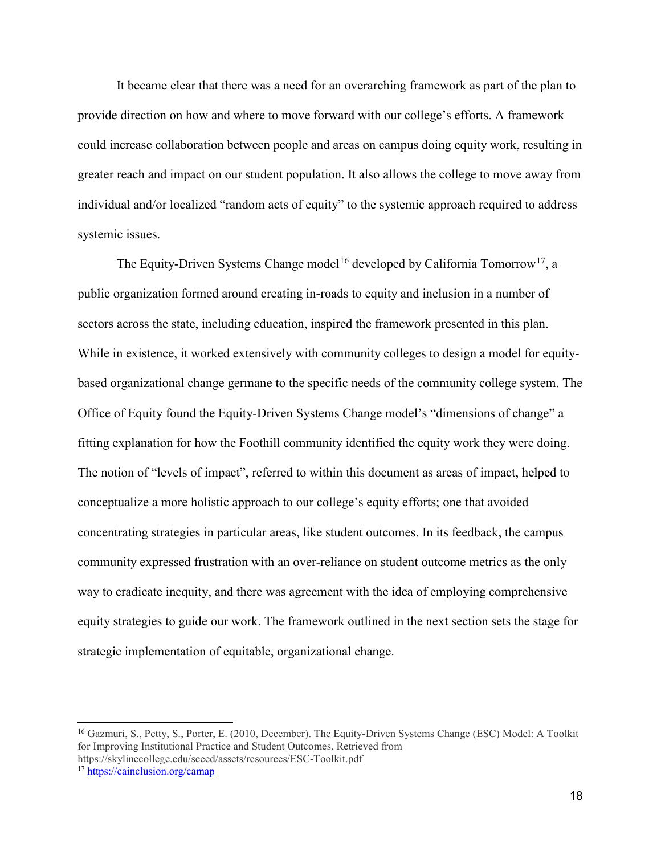It became clear that there was a need for an overarching framework as part of the plan to provide direction on how and where to move forward with our college's efforts. A framework could increase collaboration between people and areas on campus doing equity work, resulting in greater reach and impact on our student population. It also allows the college to move away from individual and/or localized "random acts of equity" to the systemic approach required to address systemic issues.

The Equity-Driven Systems Change model<sup>[16](#page-17-0)</sup> developed by California Tomorrow<sup>[17](#page-17-1)</sup>, a public organization formed around creating in-roads to equity and inclusion in a number of sectors across the state, including education, inspired the framework presented in this plan. While in existence, it worked extensively with community colleges to design a model for equitybased organizational change germane to the specific needs of the community college system. The Office of Equity found the Equity-Driven Systems Change model's "dimensions of change" a fitting explanation for how the Foothill community identified the equity work they were doing. The notion of "levels of impact", referred to within this document as areas of impact, helped to conceptualize a more holistic approach to our college's equity efforts; one that avoided concentrating strategies in particular areas, like student outcomes. In its feedback, the campus community expressed frustration with an over-reliance on student outcome metrics as the only way to eradicate inequity, and there was agreement with the idea of employing comprehensive equity strategies to guide our work. The framework outlined in the next section sets the stage for strategic implementation of equitable, organizational change.

<span id="page-17-0"></span><sup>&</sup>lt;sup>16</sup> Gazmuri, S., Petty, S., Porter, E. (2010, December). The Equity-Driven Systems Change (ESC) Model: A Toolkit for Improving Institutional Practice and Student Outcomes. Retrieved from https://skylinecollege.edu/seeed/assets/resources/ESC-Toolkit.pdf

<span id="page-17-1"></span><sup>17</sup> <https://cainclusion.org/camap>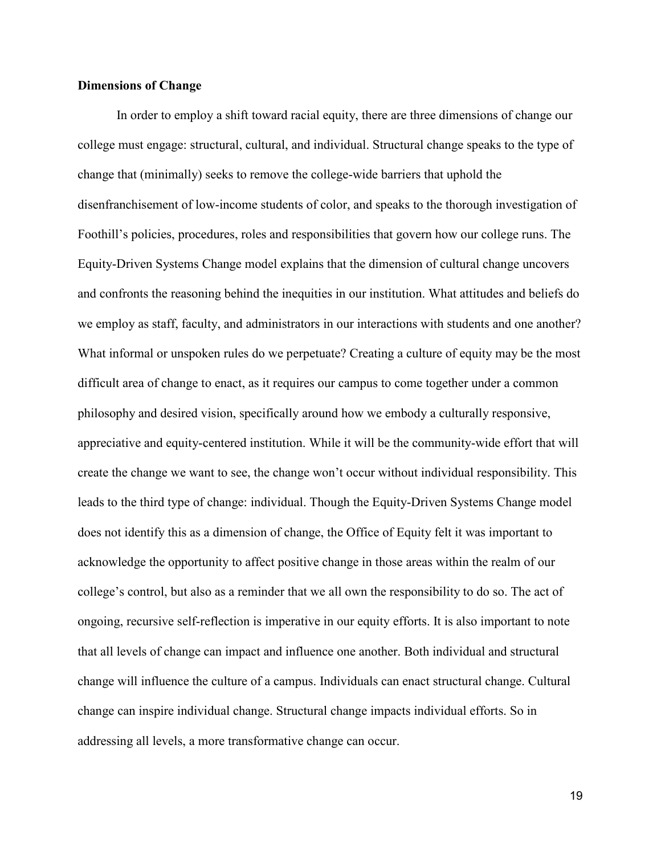# **Dimensions of Change**

In order to employ a shift toward racial equity, there are three dimensions of change our college must engage: structural, cultural, and individual. Structural change speaks to the type of change that (minimally) seeks to remove the college-wide barriers that uphold the disenfranchisement of low-income students of color, and speaks to the thorough investigation of Foothill's policies, procedures, roles and responsibilities that govern how our college runs. The Equity-Driven Systems Change model explains that the dimension of cultural change uncovers and confronts the reasoning behind the inequities in our institution. What attitudes and beliefs do we employ as staff, faculty, and administrators in our interactions with students and one another? What informal or unspoken rules do we perpetuate? Creating a culture of equity may be the most difficult area of change to enact, as it requires our campus to come together under a common philosophy and desired vision, specifically around how we embody a culturally responsive, appreciative and equity-centered institution. While it will be the community-wide effort that will create the change we want to see, the change won't occur without individual responsibility. This leads to the third type of change: individual. Though the Equity-Driven Systems Change model does not identify this as a dimension of change, the Office of Equity felt it was important to acknowledge the opportunity to affect positive change in those areas within the realm of our college's control, but also as a reminder that we all own the responsibility to do so. The act of ongoing, recursive self-reflection is imperative in our equity efforts. It is also important to note that all levels of change can impact and influence one another. Both individual and structural change will influence the culture of a campus. Individuals can enact structural change. Cultural change can inspire individual change. Structural change impacts individual efforts. So in addressing all levels, a more transformative change can occur.

19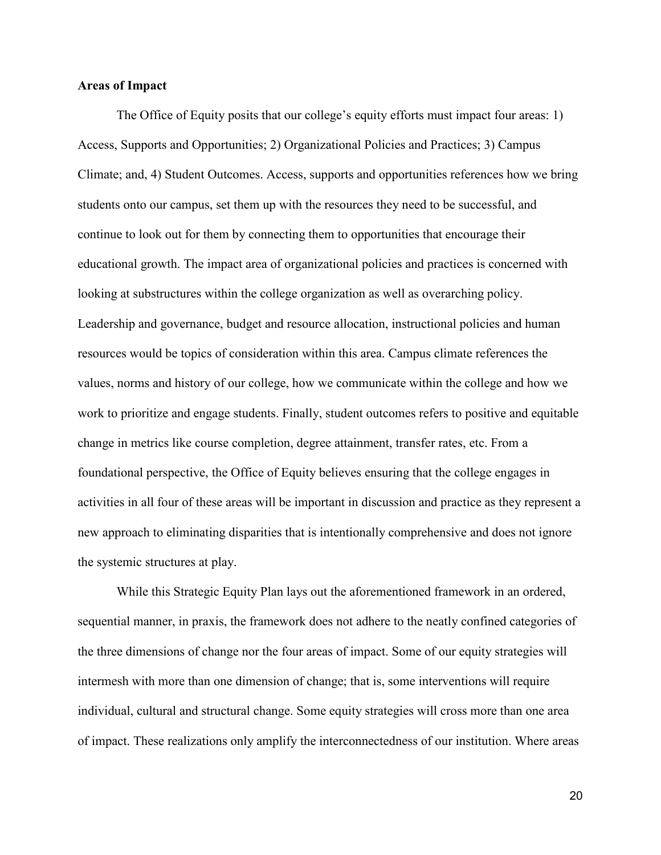# **Areas of Impact**

The Office of Equity posits that our college's equity efforts must impact four areas: 1) Access, Supports and Opportunities; 2) Organizational Policies and Practices; 3) Campus Climate; and, 4) Student Outcomes. Access, supports and opportunities references how we bring students onto our campus, set them up with the resources they need to be successful, and continue to look out for them by connecting them to opportunities that encourage their educational growth. The impact area of organizational policies and practices is concerned with looking at substructures within the college organization as well as overarching policy. Leadership and governance, budget and resource allocation, instructional policies and human resources would be topics of consideration within this area. Campus climate references the values, norms and history of our college, how we communicate within the college and how we work to prioritize and engage students. Finally, student outcomes refers to positive and equitable change in metrics like course completion, degree attainment, transfer rates, etc. From a foundational perspective, the Office of Equity believes ensuring that the college engages in activities in all four of these areas will be important in discussion and practice as they represent a new approach to eliminating disparities that is intentionally comprehensive and does not ignore the systemic structures at play.

While this Strategic Equity Plan lays out the aforementioned framework in an ordered, sequential manner, in praxis, the framework does not adhere to the neatly confined categories of the three dimensions of change nor the four areas of impact. Some of our equity strategies will intermesh with more than one dimension of change; that is, some interventions will require individual, cultural and structural change. Some equity strategies will cross more than one area of impact. These realizations only amplify the interconnectedness of our institution. Where areas

20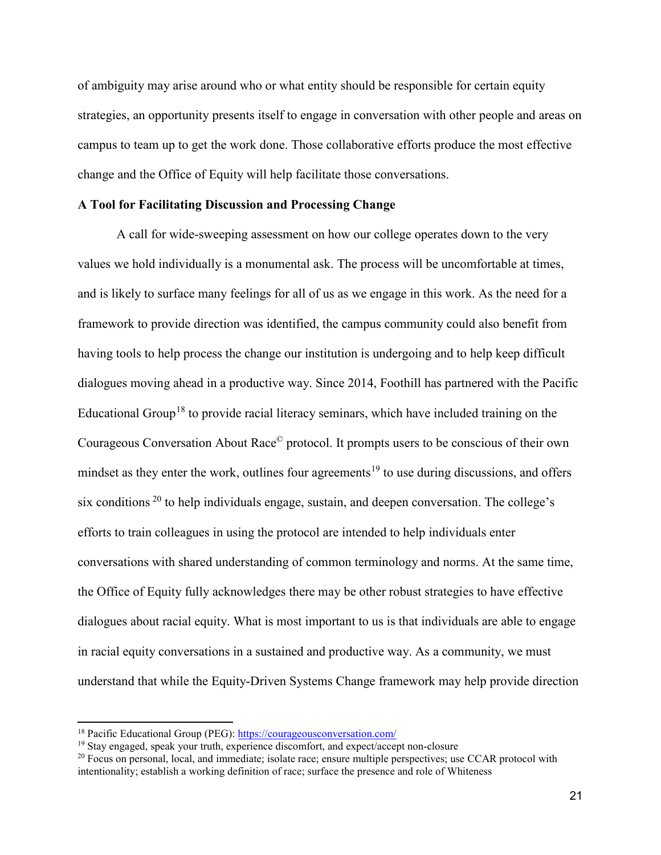of ambiguity may arise around who or what entity should be responsible for certain equity strategies, an opportunity presents itself to engage in conversation with other people and areas on campus to team up to get the work done. Those collaborative efforts produce the most effective change and the Office of Equity will help facilitate those conversations.

### **A Tool for Facilitating Discussion and Processing Change**

A call for wide-sweeping assessment on how our college operates down to the very values we hold individually is a monumental ask. The process will be uncomfortable at times, and is likely to surface many feelings for all of us as we engage in this work. As the need for a framework to provide direction was identified, the campus community could also benefit from having tools to help process the change our institution is undergoing and to help keep difficult dialogues moving ahead in a productive way. Since 2014, Foothill has partnered with the Pacific Educational Group<sup>[18](#page-20-0)</sup> to provide racial literacy seminars, which have included training on the Courageous Conversation About Race© protocol. It prompts users to be conscious of their own mindset as they enter the work, outlines four agreements<sup>[19](#page-20-1)</sup> to use during discussions, and offers six conditions  $20$  to help individuals engage, sustain, and deepen conversation. The college's efforts to train colleagues in using the protocol are intended to help individuals enter conversations with shared understanding of common terminology and norms. At the same time, the Office of Equity fully acknowledges there may be other robust strategies to have effective dialogues about racial equity. What is most important to us is that individuals are able to engage in racial equity conversations in a sustained and productive way. As a community, we must understand that while the Equity-Driven Systems Change framework may help provide direction

<span id="page-20-0"></span><sup>&</sup>lt;sup>18</sup> Pacific Educational Group (PEG):<https://courageousconversation.com/>

<span id="page-20-1"></span><sup>&</sup>lt;sup>19</sup> Stay engaged, speak your truth, experience discomfort, and expect/accept non-closure

<span id="page-20-2"></span> $^{20}$  Focus on personal, local, and immediate; isolate race; ensure multiple perspectives; use CCAR protocol with intentionality; establish a working definition of race; surface the presence and role of Whiteness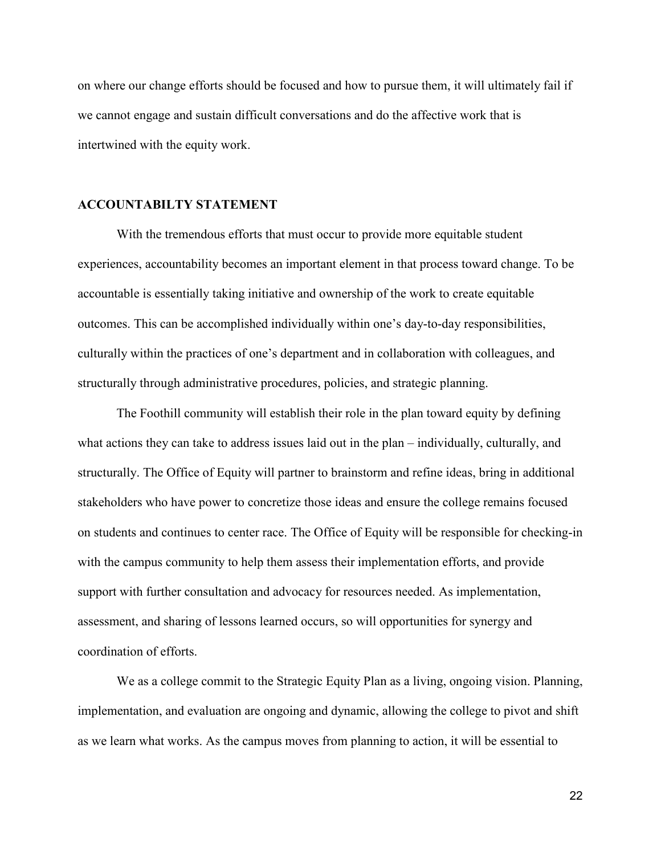on where our change efforts should be focused and how to pursue them, it will ultimately fail if we cannot engage and sustain difficult conversations and do the affective work that is intertwined with the equity work.

#### **ACCOUNTABILTY STATEMENT**

With the tremendous efforts that must occur to provide more equitable student experiences, accountability becomes an important element in that process toward change. To be accountable is essentially taking initiative and ownership of the work to create equitable outcomes. This can be accomplished individually within one's day-to-day responsibilities, culturally within the practices of one's department and in collaboration with colleagues, and structurally through administrative procedures, policies, and strategic planning.

The Foothill community will establish their role in the plan toward equity by defining what actions they can take to address issues laid out in the plan – individually, culturally, and structurally. The Office of Equity will partner to brainstorm and refine ideas, bring in additional stakeholders who have power to concretize those ideas and ensure the college remains focused on students and continues to center race. The Office of Equity will be responsible for checking-in with the campus community to help them assess their implementation efforts, and provide support with further consultation and advocacy for resources needed. As implementation, assessment, and sharing of lessons learned occurs, so will opportunities for synergy and coordination of efforts.

We as a college commit to the Strategic Equity Plan as a living, ongoing vision. Planning, implementation, and evaluation are ongoing and dynamic, allowing the college to pivot and shift as we learn what works. As the campus moves from planning to action, it will be essential to

22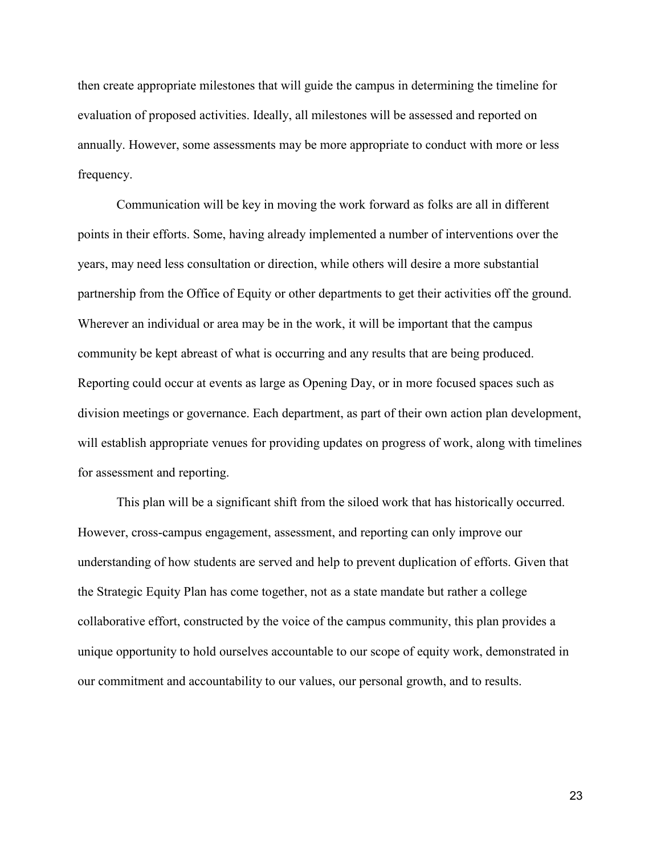then create appropriate milestones that will guide the campus in determining the timeline for evaluation of proposed activities. Ideally, all milestones will be assessed and reported on annually. However, some assessments may be more appropriate to conduct with more or less frequency.

Communication will be key in moving the work forward as folks are all in different points in their efforts. Some, having already implemented a number of interventions over the years, may need less consultation or direction, while others will desire a more substantial partnership from the Office of Equity or other departments to get their activities off the ground. Wherever an individual or area may be in the work, it will be important that the campus community be kept abreast of what is occurring and any results that are being produced. Reporting could occur at events as large as Opening Day, or in more focused spaces such as division meetings or governance. Each department, as part of their own action plan development, will establish appropriate venues for providing updates on progress of work, along with timelines for assessment and reporting.

This plan will be a significant shift from the siloed work that has historically occurred. However, cross-campus engagement, assessment, and reporting can only improve our understanding of how students are served and help to prevent duplication of efforts. Given that the Strategic Equity Plan has come together, not as a state mandate but rather a college collaborative effort, constructed by the voice of the campus community, this plan provides a unique opportunity to hold ourselves accountable to our scope of equity work, demonstrated in our commitment and accountability to our values, our personal growth, and to results.

23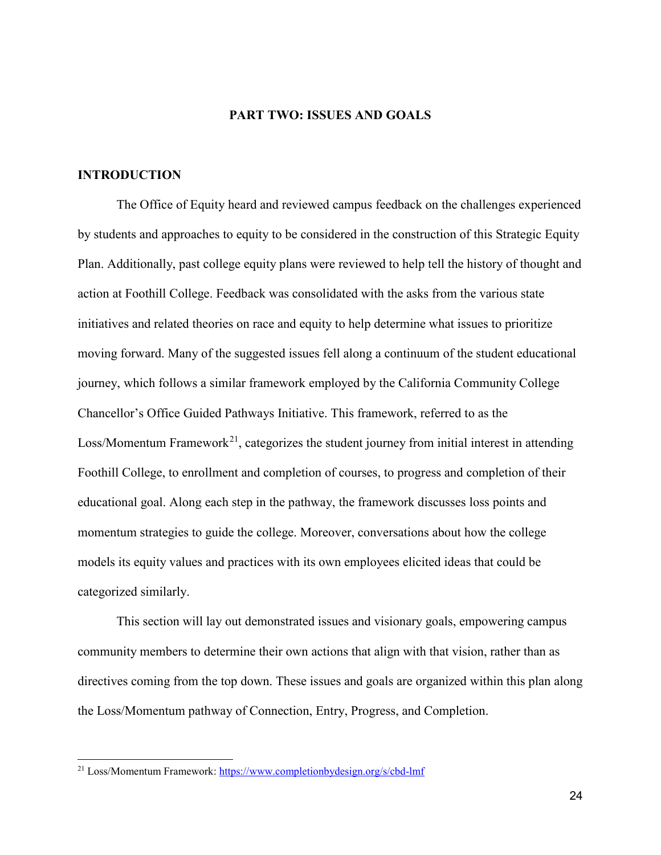# **PART TWO: ISSUES AND GOALS**

### **INTRODUCTION**

 $\overline{a}$ 

The Office of Equity heard and reviewed campus feedback on the challenges experienced by students and approaches to equity to be considered in the construction of this Strategic Equity Plan. Additionally, past college equity plans were reviewed to help tell the history of thought and action at Foothill College. Feedback was consolidated with the asks from the various state initiatives and related theories on race and equity to help determine what issues to prioritize moving forward. Many of the suggested issues fell along a continuum of the student educational journey, which follows a similar framework employed by the California Community College Chancellor's Office Guided Pathways Initiative. This framework, referred to as the Loss/Momentum Framework<sup>[21](#page-23-0)</sup>, categorizes the student journey from initial interest in attending Foothill College, to enrollment and completion of courses, to progress and completion of their educational goal. Along each step in the pathway, the framework discusses loss points and momentum strategies to guide the college. Moreover, conversations about how the college models its equity values and practices with its own employees elicited ideas that could be categorized similarly.

This section will lay out demonstrated issues and visionary goals, empowering campus community members to determine their own actions that align with that vision, rather than as directives coming from the top down. These issues and goals are organized within this plan along the Loss/Momentum pathway of Connection, Entry, Progress, and Completion.

<span id="page-23-0"></span><sup>21</sup> Loss/Momentum Framework:<https://www.completionbydesign.org/s/cbd-lmf>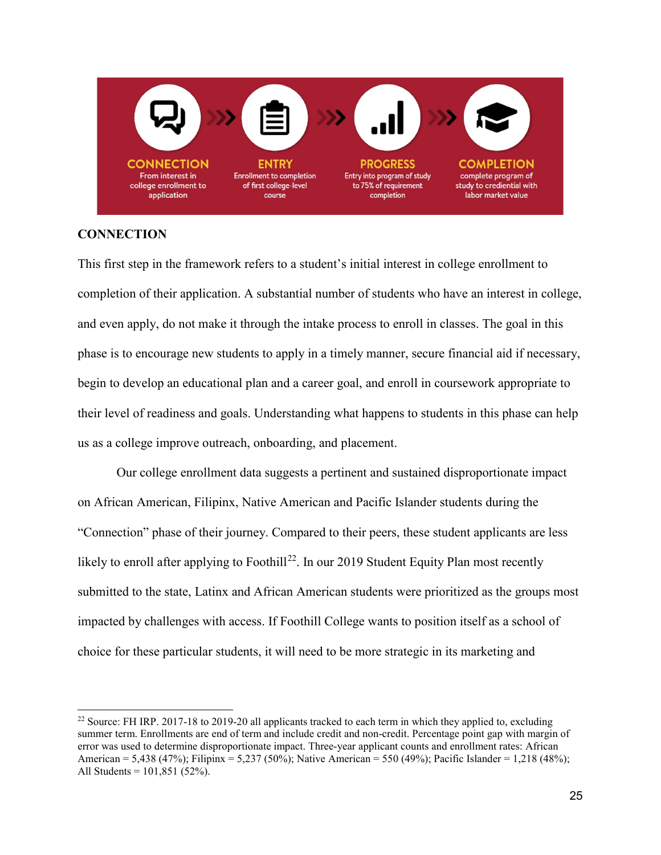

# **CONNECTION**

 $\overline{a}$ 

This first step in the framework refers to a student's initial interest in college enrollment to completion of their application. A substantial number of students who have an interest in college, and even apply, do not make it through the intake process to enroll in classes. The goal in this phase is to encourage new students to apply in a timely manner, secure financial aid if necessary, begin to develop an educational plan and a career goal, and enroll in coursework appropriate to their level of readiness and goals. Understanding what happens to students in this phase can help us as a college improve outreach, onboarding, and placement.

Our college enrollment data suggests a pertinent and sustained disproportionate impact on African American, Filipinx, Native American and Pacific Islander students during the "Connection" phase of their journey. Compared to their peers, these student applicants are less likely to enroll after applying to Foothill<sup>22</sup>. In our 2019 Student Equity Plan most recently submitted to the state, Latinx and African American students were prioritized as the groups most impacted by challenges with access. If Foothill College wants to position itself as a school of choice for these particular students, it will need to be more strategic in its marketing and

<span id="page-24-0"></span><sup>&</sup>lt;sup>22</sup> Source: FH IRP. 2017-18 to 2019-20 all applicants tracked to each term in which they applied to, excluding summer term. Enrollments are end of term and include credit and non-credit. Percentage point gap with margin of error was used to determine disproportionate impact. Three-year applicant counts and enrollment rates: African American = 5,438 (47%); Filipinx = 5,237 (50%); Native American = 550 (49%); Pacific Islander = 1,218 (48%); All Students = 101,851 (52%).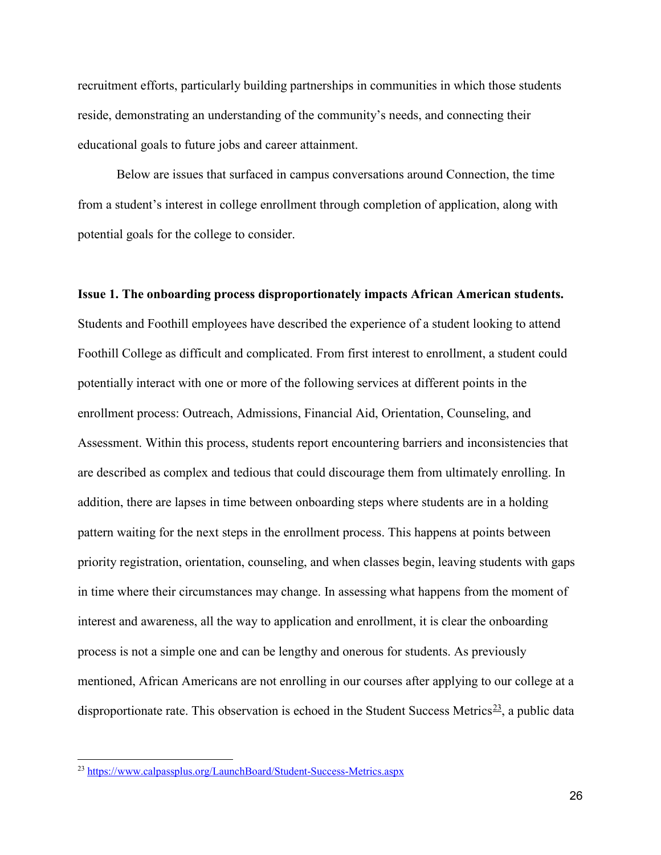recruitment efforts, particularly building partnerships in communities in which those students reside, demonstrating an understanding of the community's needs, and connecting their educational goals to future jobs and career attainment.

Below are issues that surfaced in campus conversations around Connection, the time from a student's interest in college enrollment through completion of application, along with potential goals for the college to consider.

**Issue 1. The onboarding process disproportionately impacts African American students.**  Students and Foothill employees have described the experience of a student looking to attend Foothill College as difficult and complicated. From first interest to enrollment, a student could potentially interact with one or more of the following services at different points in the enrollment process: Outreach, Admissions, Financial Aid, Orientation, Counseling, and Assessment. Within this process, students report encountering barriers and inconsistencies that are described as complex and tedious that could discourage them from ultimately enrolling. In addition, there are lapses in time between onboarding steps where students are in a holding pattern waiting for the next steps in the enrollment process. This happens at points between priority registration, orientation, counseling, and when classes begin, leaving students with gaps in time where their circumstances may change. In assessing what happens from the moment of interest and awareness, all the way to application and enrollment, it is clear the onboarding process is not a simple one and can be lengthy and onerous for students. As previously mentioned, African Americans are not enrolling in our courses after applying to our college at a disproportionate rate. This observation is echoed in the Student Success Metrics<sup>23</sup>, a public data

<span id="page-25-0"></span><sup>&</sup>lt;sup>23</sup> <https://www.calpassplus.org/LaunchBoard/Student-Success-Metrics.aspx>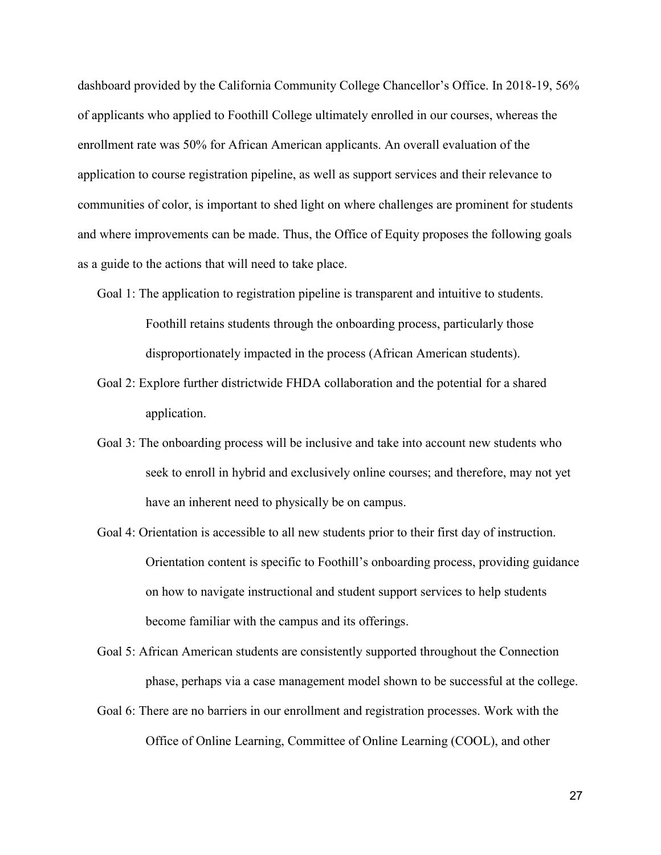dashboard provided by the California Community College Chancellor's Office. In 2018-19, 56% of applicants who applied to Foothill College ultimately enrolled in our courses, whereas the enrollment rate was 50% for African American applicants. An overall evaluation of the application to course registration pipeline, as well as support services and their relevance to communities of color, is important to shed light on where challenges are prominent for students and where improvements can be made. Thus, the Office of Equity proposes the following goals as a guide to the actions that will need to take place.

- Goal 1: The application to registration pipeline is transparent and intuitive to students. Foothill retains students through the onboarding process, particularly those disproportionately impacted in the process (African American students).
- Goal 2: Explore further districtwide FHDA collaboration and the potential for a shared application.
- Goal 3: The onboarding process will be inclusive and take into account new students who seek to enroll in hybrid and exclusively online courses; and therefore, may not yet have an inherent need to physically be on campus.
- Goal 4: Orientation is accessible to all new students prior to their first day of instruction. Orientation content is specific to Foothill's onboarding process, providing guidance on how to navigate instructional and student support services to help students become familiar with the campus and its offerings.

Goal 5: African American students are consistently supported throughout the Connection phase, perhaps via a case management model shown to be successful at the college.

Goal 6: There are no barriers in our enrollment and registration processes. Work with the Office of Online Learning, Committee of Online Learning (COOL), and other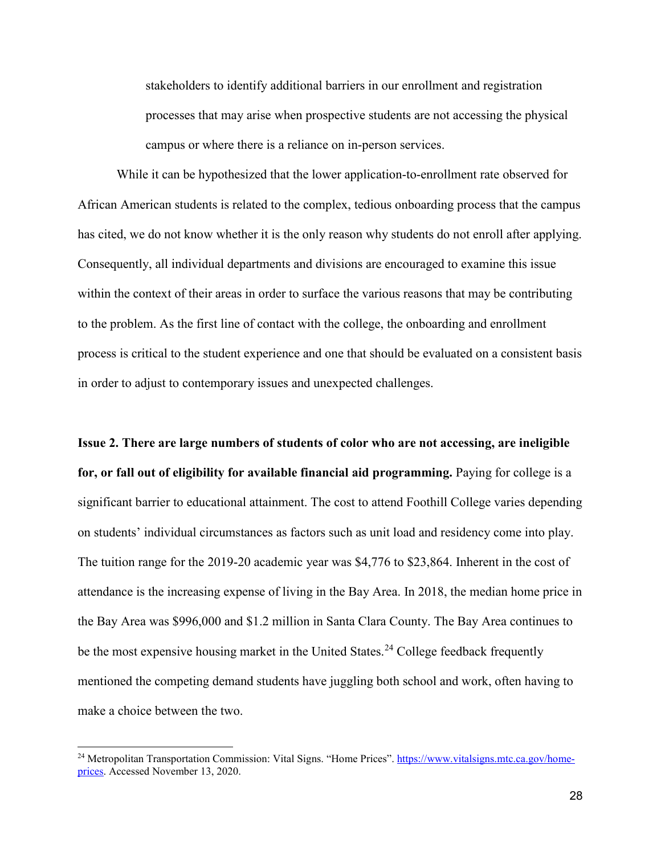stakeholders to identify additional barriers in our enrollment and registration processes that may arise when prospective students are not accessing the physical campus or where there is a reliance on in-person services.

While it can be hypothesized that the lower application-to-enrollment rate observed for African American students is related to the complex, tedious onboarding process that the campus has cited, we do not know whether it is the only reason why students do not enroll after applying. Consequently, all individual departments and divisions are encouraged to examine this issue within the context of their areas in order to surface the various reasons that may be contributing to the problem. As the first line of contact with the college, the onboarding and enrollment process is critical to the student experience and one that should be evaluated on a consistent basis in order to adjust to contemporary issues and unexpected challenges.

**Issue 2. There are large numbers of students of color who are not accessing, are ineligible for, or fall out of eligibility for available financial aid programming.** Paying for college is a significant barrier to educational attainment. The cost to attend Foothill College varies depending on students' individual circumstances as factors such as unit load and residency come into play. The tuition range for the 2019-20 academic year was \$4,776 to \$23,864. Inherent in the cost of attendance is the increasing expense of living in the Bay Area. In 2018, the median home price in the Bay Area was \$996,000 and \$1.2 million in Santa Clara County. The Bay Area continues to be the most expensive housing market in the United States.<sup>[24](#page-27-0)</sup> College feedback frequently mentioned the competing demand students have juggling both school and work, often having to make a choice between the two.

<span id="page-27-0"></span><sup>&</sup>lt;sup>24</sup> Metropolitan Transportation Commission: Vital Signs. "Home Prices". [https://www.vitalsigns.mtc.ca.gov/home](https://www.vitalsigns.mtc.ca.gov/home-prices)[prices.](https://www.vitalsigns.mtc.ca.gov/home-prices) Accessed November 13, 2020.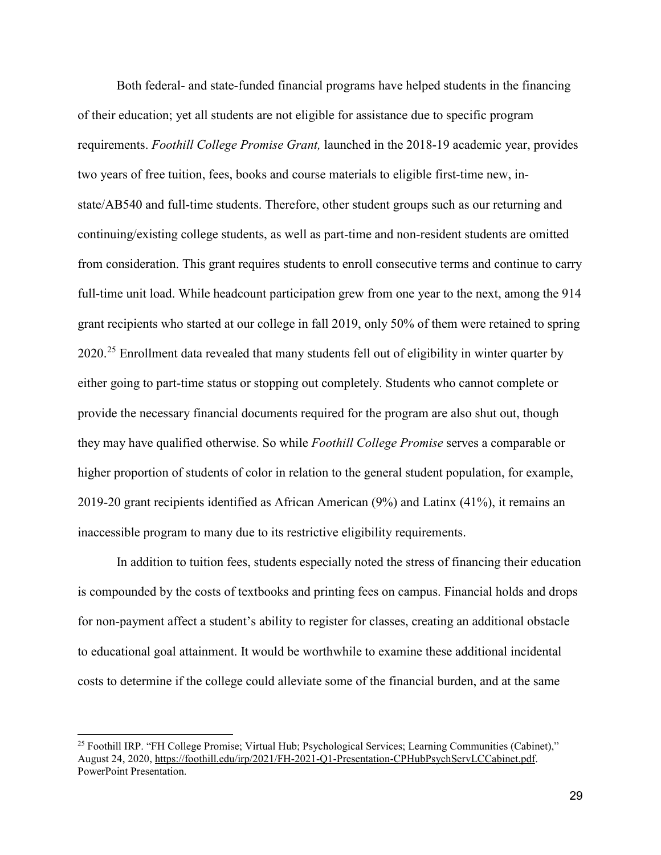Both federal- and state-funded financial programs have helped students in the financing of their education; yet all students are not eligible for assistance due to specific program requirements. *Foothill College Promise Grant,* launched in the 2018-19 academic year, provides two years of free tuition, fees, books and course materials to eligible first-time new, instate/AB540 and full-time students. Therefore, other student groups such as our returning and continuing/existing college students, as well as part-time and non-resident students are omitted from consideration. This grant requires students to enroll consecutive terms and continue to carry full-time unit load. While headcount participation grew from one year to the next, among the 914 grant recipients who started at our college in fall 2019, only 50% of them were retained to spring  $2020.^{25}$  $2020.^{25}$  $2020.^{25}$  Enrollment data revealed that many students fell out of eligibility in winter quarter by either going to part-time status or stopping out completely. Students who cannot complete or provide the necessary financial documents required for the program are also shut out, though they may have qualified otherwise. So while *Foothill College Promise* serves a comparable or higher proportion of students of color in relation to the general student population, for example, 2019-20 grant recipients identified as African American (9%) and Latinx (41%), it remains an inaccessible program to many due to its restrictive eligibility requirements.

In addition to tuition fees, students especially noted the stress of financing their education is compounded by the costs of textbooks and printing fees on campus. Financial holds and drops for non-payment affect a student's ability to register for classes, creating an additional obstacle to educational goal attainment. It would be worthwhile to examine these additional incidental costs to determine if the college could alleviate some of the financial burden, and at the same

<span id="page-28-0"></span><sup>25</sup> Foothill IRP. "FH College Promise; Virtual Hub; Psychological Services; Learning Communities (Cabinet)," August 24, 2020, [https://foothill.edu/irp/2021/FH-2021-Q1-Presentation-CPHubPsychServLCCabinet.pdf.](https://foothill.edu/irp/2021/FH-2021-Q1-Presentation-CPHubPsychServLCCabinet.pdf) PowerPoint Presentation.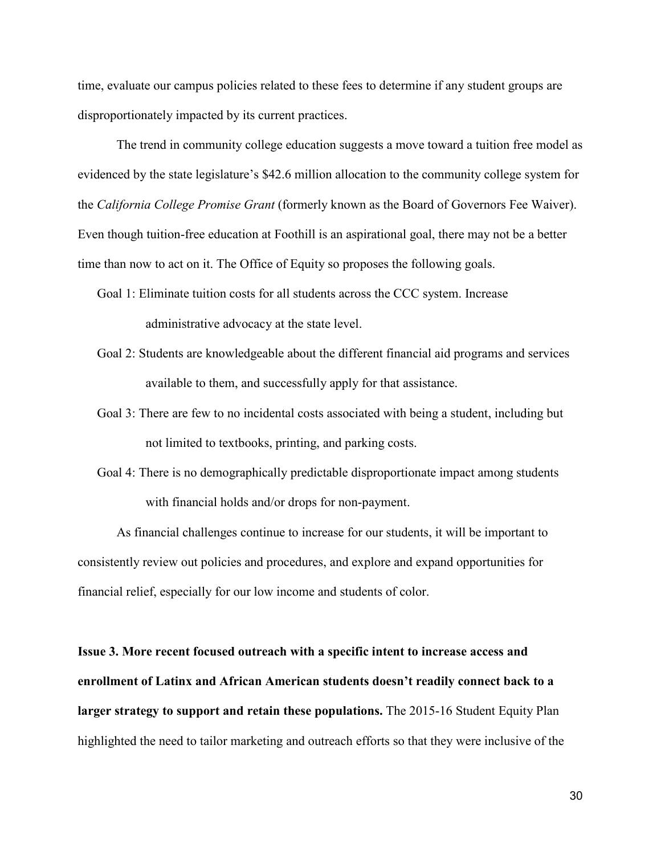time, evaluate our campus policies related to these fees to determine if any student groups are disproportionately impacted by its current practices.

The trend in community college education suggests a move toward a tuition free model as evidenced by the state legislature's \$42.6 million allocation to the community college system for the *California College Promise Grant* (formerly known as the Board of Governors Fee Waiver). Even though tuition-free education at Foothill is an aspirational goal, there may not be a better time than now to act on it. The Office of Equity so proposes the following goals.

- Goal 1: Eliminate tuition costs for all students across the CCC system. Increase administrative advocacy at the state level.
- Goal 2: Students are knowledgeable about the different financial aid programs and services available to them, and successfully apply for that assistance.
- Goal 3: There are few to no incidental costs associated with being a student, including but not limited to textbooks, printing, and parking costs.
- Goal 4: There is no demographically predictable disproportionate impact among students with financial holds and/or drops for non-payment.

As financial challenges continue to increase for our students, it will be important to consistently review out policies and procedures, and explore and expand opportunities for financial relief, especially for our low income and students of color.

**Issue 3. More recent focused outreach with a specific intent to increase access and enrollment of Latinx and African American students doesn't readily connect back to a larger strategy to support and retain these populations.** The 2015-16 Student Equity Plan highlighted the need to tailor marketing and outreach efforts so that they were inclusive of the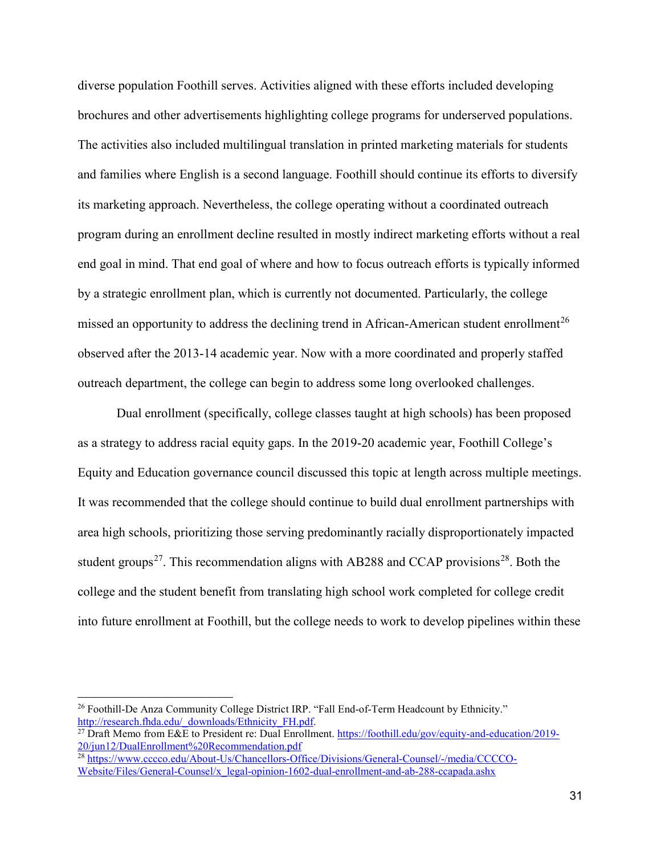diverse population Foothill serves. Activities aligned with these efforts included developing brochures and other advertisements highlighting college programs for underserved populations. The activities also included multilingual translation in printed marketing materials for students and families where English is a second language. Foothill should continue its efforts to diversify its marketing approach. Nevertheless, the college operating without a coordinated outreach program during an enrollment decline resulted in mostly indirect marketing efforts without a real end goal in mind. That end goal of where and how to focus outreach efforts is typically informed by a strategic enrollment plan, which is currently not documented. Particularly, the college missed an opportunity to address the declining trend in African-American student enrollment<sup>[26](#page-30-0)</sup> observed after the 2013-14 academic year. Now with a more coordinated and properly staffed outreach department, the college can begin to address some long overlooked challenges.

Dual enrollment (specifically, college classes taught at high schools) has been proposed as a strategy to address racial equity gaps. In the 2019-20 academic year, Foothill College's Equity and Education governance council discussed this topic at length across multiple meetings. It was recommended that the college should continue to build dual enrollment partnerships with area high schools, prioritizing those serving predominantly racially disproportionately impacted student groups<sup>27</sup>. This recommendation aligns with AB[28](#page-30-2)8 and CCAP provisions<sup>28</sup>. Both the college and the student benefit from translating high school work completed for college credit into future enrollment at Foothill, but the college needs to work to develop pipelines within these

<span id="page-30-0"></span><sup>&</sup>lt;sup>26</sup> Foothill-De Anza Community College District IRP. "Fall End-of-Term Headcount by Ethnicity." http://research.fhda.edu/ downloads/Ethnicity FH.pdf.

<span id="page-30-1"></span><sup>&</sup>lt;sup>27</sup> Draft Memo from E&E to President re: Dual Enrollment. [https://foothill.edu/gov/equity-and-education/2019-](https://foothill.edu/gov/equity-and-education/2019-20/jun12/DualEnrollment%20Recommendation.pdf) [20/jun12/DualEnrollment%20Recommendation.pdf](https://foothill.edu/gov/equity-and-education/2019-20/jun12/DualEnrollment%20Recommendation.pdf)

<span id="page-30-2"></span><sup>28</sup> [https://www.cccco.edu/About-Us/Chancellors-Office/Divisions/General-Counsel/-/media/CCCCO-](https://www.cccco.edu/About-Us/Chancellors-Office/Divisions/General-Counsel/-/media/CCCCO-Website/Files/General-Counsel/x_legal-opinion-1602-dual-enrollment-and-ab-288-ccapada.ashx)[Website/Files/General-Counsel/x\\_legal-opinion-1602-dual-enrollment-and-ab-288-ccapada.ashx](https://www.cccco.edu/About-Us/Chancellors-Office/Divisions/General-Counsel/-/media/CCCCO-Website/Files/General-Counsel/x_legal-opinion-1602-dual-enrollment-and-ab-288-ccapada.ashx)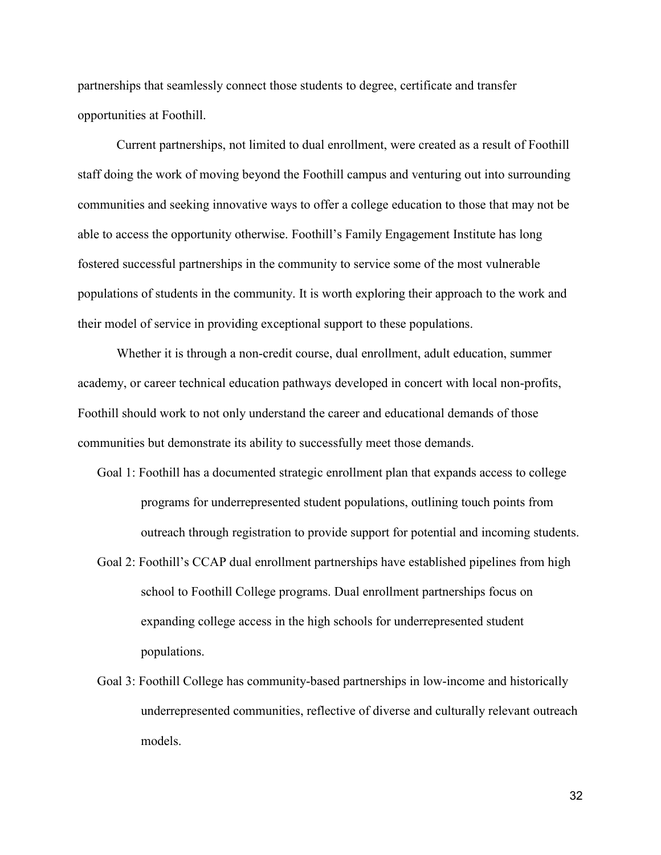partnerships that seamlessly connect those students to degree, certificate and transfer opportunities at Foothill.

Current partnerships, not limited to dual enrollment, were created as a result of Foothill staff doing the work of moving beyond the Foothill campus and venturing out into surrounding communities and seeking innovative ways to offer a college education to those that may not be able to access the opportunity otherwise. Foothill's Family Engagement Institute has long fostered successful partnerships in the community to service some of the most vulnerable populations of students in the community. It is worth exploring their approach to the work and their model of service in providing exceptional support to these populations.

Whether it is through a non-credit course, dual enrollment, adult education, summer academy, or career technical education pathways developed in concert with local non-profits, Foothill should work to not only understand the career and educational demands of those communities but demonstrate its ability to successfully meet those demands.

- Goal 1: Foothill has a documented strategic enrollment plan that expands access to college programs for underrepresented student populations, outlining touch points from outreach through registration to provide support for potential and incoming students.
- Goal 2: Foothill's CCAP dual enrollment partnerships have established pipelines from high school to Foothill College programs. Dual enrollment partnerships focus on expanding college access in the high schools for underrepresented student populations.
- Goal 3: Foothill College has community-based partnerships in low-income and historically underrepresented communities, reflective of diverse and culturally relevant outreach models.

32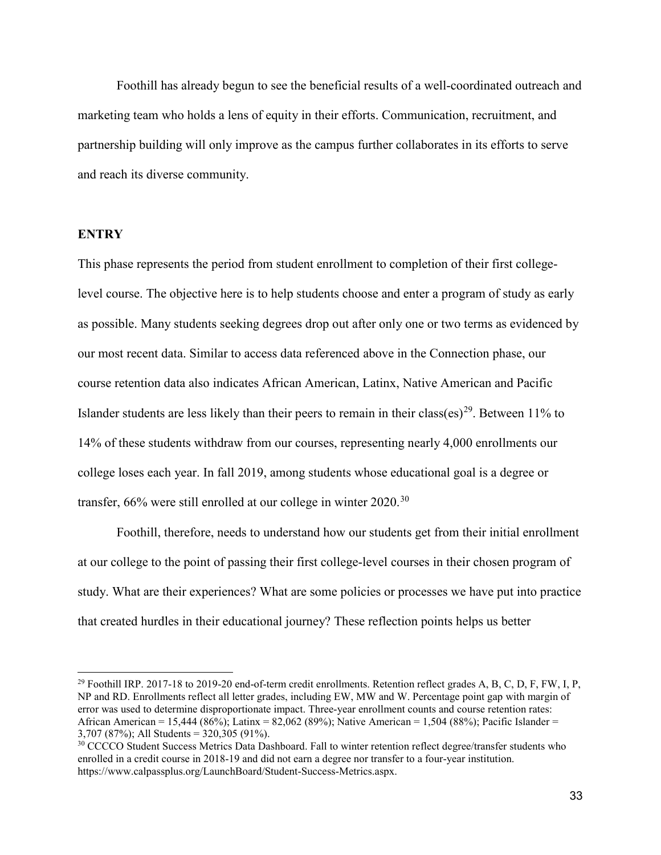Foothill has already begun to see the beneficial results of a well-coordinated outreach and marketing team who holds a lens of equity in their efforts. Communication, recruitment, and partnership building will only improve as the campus further collaborates in its efforts to serve and reach its diverse community.

# **ENTRY**

 $\overline{a}$ 

This phase represents the period from student enrollment to completion of their first collegelevel course. The objective here is to help students choose and enter a program of study as early as possible. Many students seeking degrees drop out after only one or two terms as evidenced by our most recent data. Similar to access data referenced above in the Connection phase, our course retention data also indicates African American, Latinx, Native American and Pacific Islander students are less likely than their peers to remain in their class(es)<sup>29</sup>. Between 11% to 14% of these students withdraw from our courses, representing nearly 4,000 enrollments our college loses each year. In fall 2019, among students whose educational goal is a degree or transfer,  $66\%$  were still enrolled at our college in winter  $2020$ .<sup>[30](#page-32-1)</sup>

Foothill, therefore, needs to understand how our students get from their initial enrollment at our college to the point of passing their first college-level courses in their chosen program of study. What are their experiences? What are some policies or processes we have put into practice that created hurdles in their educational journey? These reflection points helps us better

<span id="page-32-0"></span> $^{29}$  Foothill IRP. 2017-18 to 2019-20 end-of-term credit enrollments. Retention reflect grades A, B, C, D, F, FW, I, P, NP and RD. Enrollments reflect all letter grades, including EW, MW and W. Percentage point gap with margin of error was used to determine disproportionate impact. Three-year enrollment counts and course retention rates: African American = 15,444 (86%); Latinx = 82,062 (89%); Native American = 1,504 (88%); Pacific Islander = 3,707 (87%); All Students = 320,305 (91%).

<span id="page-32-1"></span><sup>&</sup>lt;sup>30</sup> CCCCO Student Success Metrics Data Dashboard. Fall to winter retention reflect degree/transfer students who enrolled in a credit course in 2018-19 and did not earn a degree nor transfer to a four-year institution. https://www.calpassplus.org/LaunchBoard/Student-Success-Metrics.aspx.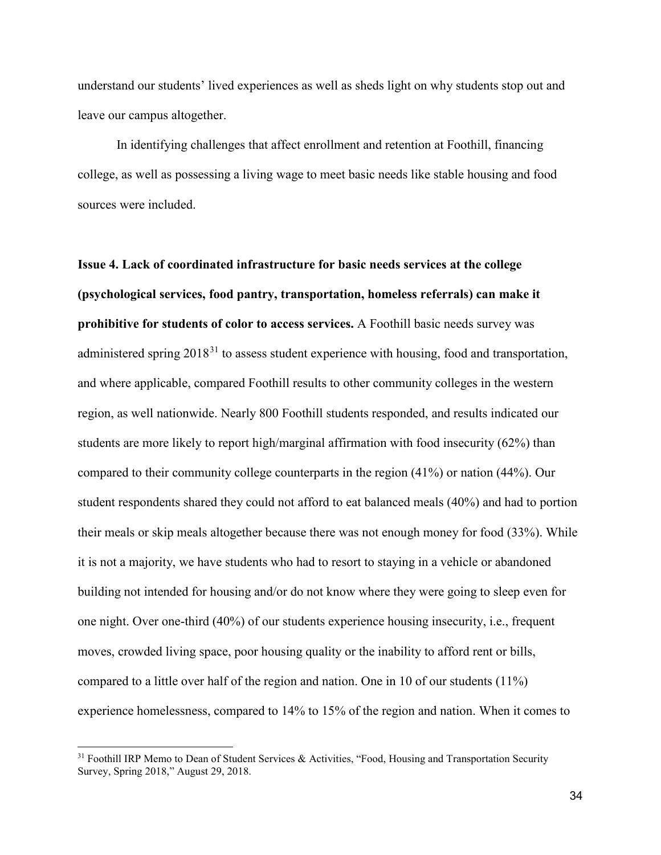understand our students' lived experiences as well as sheds light on why students stop out and leave our campus altogether.

In identifying challenges that affect enrollment and retention at Foothill, financing college, as well as possessing a living wage to meet basic needs like stable housing and food sources were included.

**Issue 4. Lack of coordinated infrastructure for basic needs services at the college (psychological services, food pantry, transportation, homeless referrals) can make it prohibitive for students of color to access services.** A Foothill basic needs survey was administered spring  $2018<sup>31</sup>$  $2018<sup>31</sup>$  $2018<sup>31</sup>$  to assess student experience with housing, food and transportation, and where applicable, compared Foothill results to other community colleges in the western region, as well nationwide. Nearly 800 Foothill students responded, and results indicated our students are more likely to report high/marginal affirmation with food insecurity (62%) than compared to their community college counterparts in the region (41%) or nation (44%). Our student respondents shared they could not afford to eat balanced meals (40%) and had to portion their meals or skip meals altogether because there was not enough money for food (33%). While it is not a majority, we have students who had to resort to staying in a vehicle or abandoned building not intended for housing and/or do not know where they were going to sleep even for one night. Over one-third (40%) of our students experience housing insecurity, i.e., frequent moves, crowded living space, poor housing quality or the inability to afford rent or bills, compared to a little over half of the region and nation. One in 10 of our students (11%) experience homelessness, compared to 14% to 15% of the region and nation. When it comes to

<span id="page-33-0"></span> $31$  Foothill IRP Memo to Dean of Student Services & Activities, "Food, Housing and Transportation Security Survey, Spring 2018," August 29, 2018.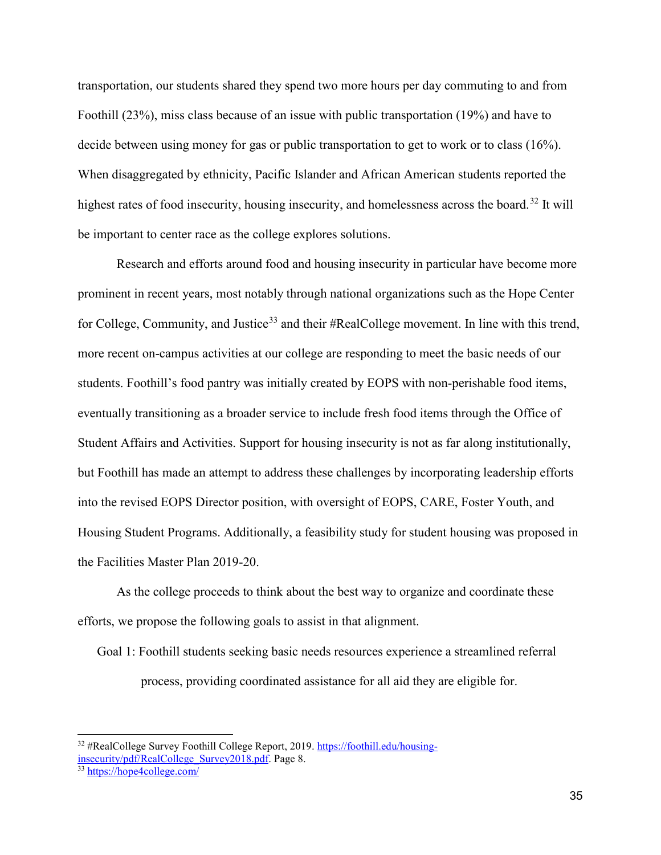transportation, our students shared they spend two more hours per day commuting to and from Foothill (23%), miss class because of an issue with public transportation (19%) and have to decide between using money for gas or public transportation to get to work or to class (16%). When disaggregated by ethnicity, Pacific Islander and African American students reported the highest rates of food insecurity, housing insecurity, and homelessness across the board.<sup>[32](#page-34-0)</sup> It will be important to center race as the college explores solutions.

Research and efforts around food and housing insecurity in particular have become more prominent in recent years, most notably through national organizations such as the Hope Center for College, Community, and Justice<sup>[33](#page-34-1)</sup> and their #RealCollege movement. In line with this trend, more recent on-campus activities at our college are responding to meet the basic needs of our students. Foothill's food pantry was initially created by EOPS with non-perishable food items, eventually transitioning as a broader service to include fresh food items through the Office of Student Affairs and Activities. Support for housing insecurity is not as far along institutionally, but Foothill has made an attempt to address these challenges by incorporating leadership efforts into the revised EOPS Director position, with oversight of EOPS, CARE, Foster Youth, and Housing Student Programs. Additionally, a feasibility study for student housing was proposed in the Facilities Master Plan 2019-20.

As the college proceeds to think about the best way to organize and coordinate these efforts, we propose the following goals to assist in that alignment.

Goal 1: Foothill students seeking basic needs resources experience a streamlined referral process, providing coordinated assistance for all aid they are eligible for.

<span id="page-34-0"></span> $\overline{a}$ <sup>32</sup> #RealCollege Survey Foothill College Report, 2019. [https://foothill.edu/housing](https://foothill.edu/housing-insecurity/pdf/RealCollege_Survey2018.pdf)[insecurity/pdf/RealCollege\\_Survey2018.pdf.](https://foothill.edu/housing-insecurity/pdf/RealCollege_Survey2018.pdf) Page 8.

<span id="page-34-1"></span><sup>33</sup> <https://hope4college.com/>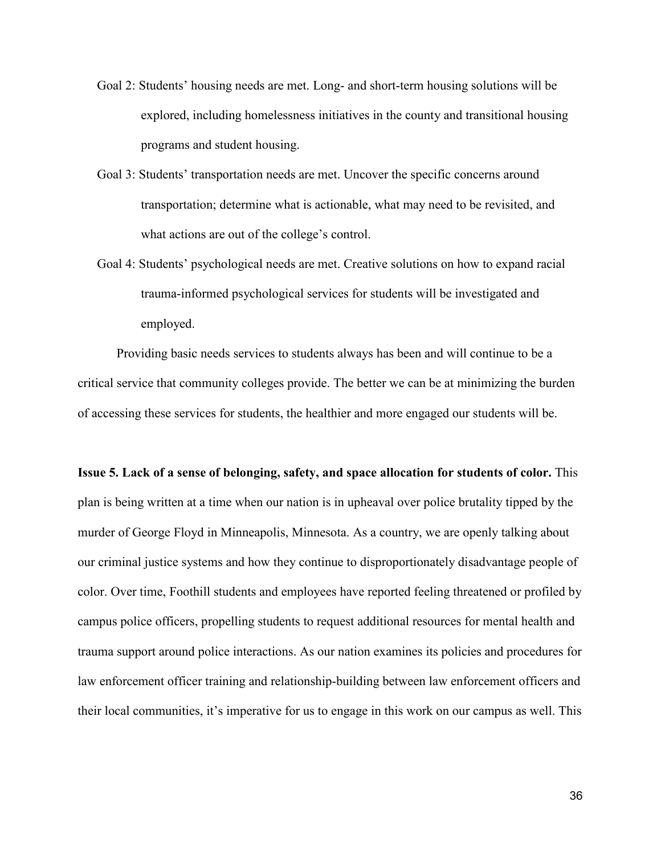- Goal 2: Students' housing needs are met. Long- and short-term housing solutions will be explored, including homelessness initiatives in the county and transitional housing programs and student housing.
- Goal 3: Students' transportation needs are met. Uncover the specific concerns around transportation; determine what is actionable, what may need to be revisited, and what actions are out of the college's control.
- Goal 4: Students' psychological needs are met. Creative solutions on how to expand racial trauma-informed psychological services for students will be investigated and employed.

Providing basic needs services to students always has been and will continue to be a critical service that community colleges provide. The better we can be at minimizing the burden of accessing these services for students, the healthier and more engaged our students will be.

**Issue 5. Lack of a sense of belonging, safety, and space allocation for students of color.** This plan is being written at a time when our nation is in upheaval over police brutality tipped by the murder of George Floyd in Minneapolis, Minnesota. As a country, we are openly talking about our criminal justice systems and how they continue to disproportionately disadvantage people of color. Over time, Foothill students and employees have reported feeling threatened or profiled by campus police officers, propelling students to request additional resources for mental health and trauma support around police interactions. As our nation examines its policies and procedures for law enforcement officer training and relationship-building between law enforcement officers and their local communities, it's imperative for us to engage in this work on our campus as well. This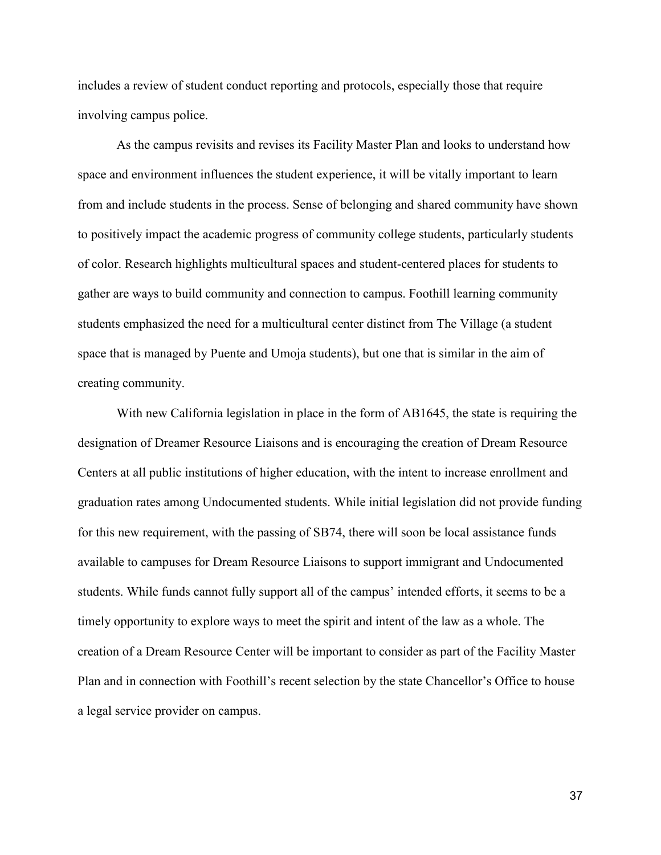includes a review of student conduct reporting and protocols, especially those that require involving campus police.

As the campus revisits and revises its Facility Master Plan and looks to understand how space and environment influences the student experience, it will be vitally important to learn from and include students in the process. Sense of belonging and shared community have shown to positively impact the academic progress of community college students, particularly students of color. Research highlights multicultural spaces and student-centered places for students to gather are ways to build community and connection to campus. Foothill learning community students emphasized the need for a multicultural center distinct from The Village (a student space that is managed by Puente and Umoja students), but one that is similar in the aim of creating community.

With new California legislation in place in the form of AB1645, the state is requiring the designation of Dreamer Resource Liaisons and is encouraging the creation of Dream Resource Centers at all public institutions of higher education, with the intent to increase enrollment and graduation rates among Undocumented students. While initial legislation did not provide funding for this new requirement, with the passing of SB74, there will soon be local assistance funds available to campuses for Dream Resource Liaisons to support immigrant and Undocumented students. While funds cannot fully support all of the campus' intended efforts, it seems to be a timely opportunity to explore ways to meet the spirit and intent of the law as a whole. The creation of a Dream Resource Center will be important to consider as part of the Facility Master Plan and in connection with Foothill's recent selection by the state Chancellor's Office to house a legal service provider on campus.

37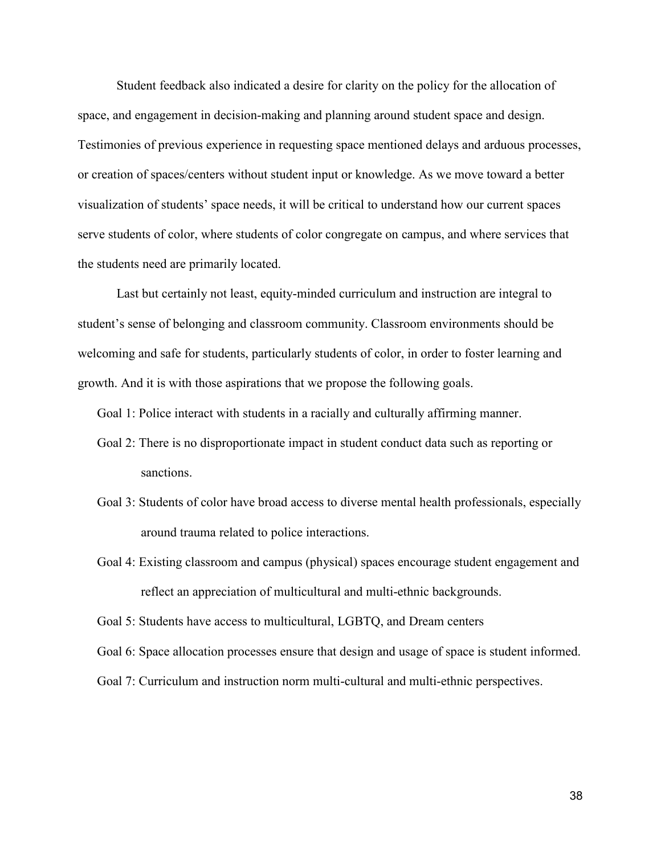Student feedback also indicated a desire for clarity on the policy for the allocation of space, and engagement in decision-making and planning around student space and design. Testimonies of previous experience in requesting space mentioned delays and arduous processes, or creation of spaces/centers without student input or knowledge. As we move toward a better visualization of students' space needs, it will be critical to understand how our current spaces serve students of color, where students of color congregate on campus, and where services that the students need are primarily located.

Last but certainly not least, equity-minded curriculum and instruction are integral to student's sense of belonging and classroom community. Classroom environments should be welcoming and safe for students, particularly students of color, in order to foster learning and growth. And it is with those aspirations that we propose the following goals.

Goal 1: Police interact with students in a racially and culturally affirming manner.

- Goal 2: There is no disproportionate impact in student conduct data such as reporting or sanctions.
- Goal 3: Students of color have broad access to diverse mental health professionals, especially around trauma related to police interactions.
- Goal 4: Existing classroom and campus (physical) spaces encourage student engagement and reflect an appreciation of multicultural and multi-ethnic backgrounds.

Goal 5: Students have access to multicultural, LGBTQ, and Dream centers

Goal 6: Space allocation processes ensure that design and usage of space is student informed.

Goal 7: Curriculum and instruction norm multi-cultural and multi-ethnic perspectives.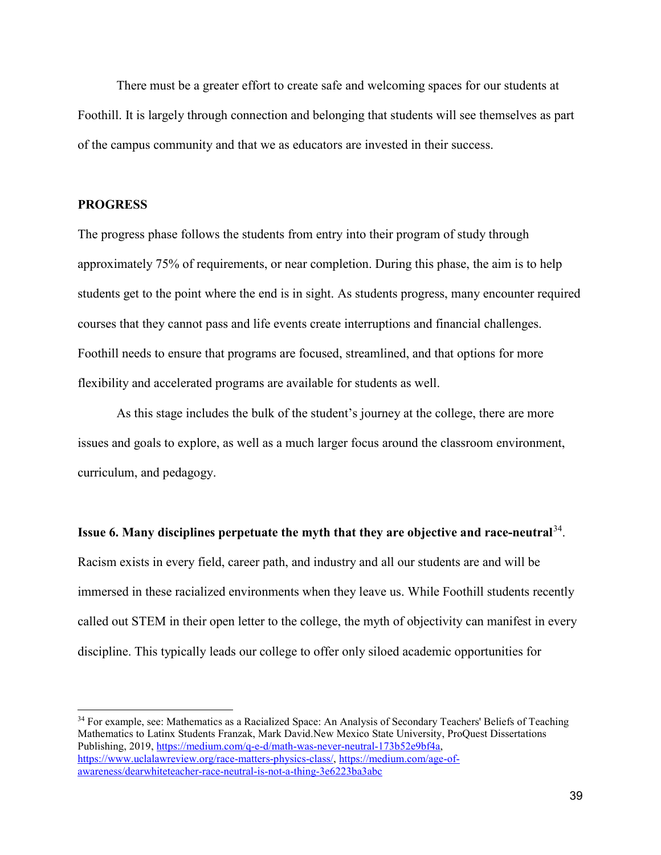There must be a greater effort to create safe and welcoming spaces for our students at Foothill. It is largely through connection and belonging that students will see themselves as part of the campus community and that we as educators are invested in their success.

# **PROGRESS**

 $\overline{a}$ 

The progress phase follows the students from entry into their program of study through approximately 75% of requirements, or near completion. During this phase, the aim is to help students get to the point where the end is in sight. As students progress, many encounter required courses that they cannot pass and life events create interruptions and financial challenges. Foothill needs to ensure that programs are focused, streamlined, and that options for more flexibility and accelerated programs are available for students as well.

As this stage includes the bulk of the student's journey at the college, there are more issues and goals to explore, as well as a much larger focus around the classroom environment, curriculum, and pedagogy.

**Issue 6. Many disciplines perpetuate the myth that they are objective and race-neutral**[34.](#page-38-0) Racism exists in every field, career path, and industry and all our students are and will be immersed in these racialized environments when they leave us. While Foothill students recently called out STEM in their open letter to the college, the myth of objectivity can manifest in every discipline. This typically leads our college to offer only siloed academic opportunities for

<span id="page-38-0"></span><sup>34</sup> For example, see: Mathematics as a Racialized Space: An Analysis of Secondary Teachers' Beliefs of Teaching Mathematics to Latinx Students Franzak, Mark David.New Mexico State University, ProQuest Dissertations Publishing, 2019, [https://medium.com/q-e-d/math-was-never-neutral-173b52e9bf4a,](https://medium.com/q-e-d/math-was-never-neutral-173b52e9bf4a) [https://www.uclalawreview.org/race-matters-physics-class/,](https://www.uclalawreview.org/race-matters-physics-class/) [https://medium.com/age-of](https://medium.com/age-of-awareness/dearwhiteteacher-race-neutral-is-not-a-thing-3e6223ba3abc)[awareness/dearwhiteteacher-race-neutral-is-not-a-thing-3e6223ba3abc](https://medium.com/age-of-awareness/dearwhiteteacher-race-neutral-is-not-a-thing-3e6223ba3abc)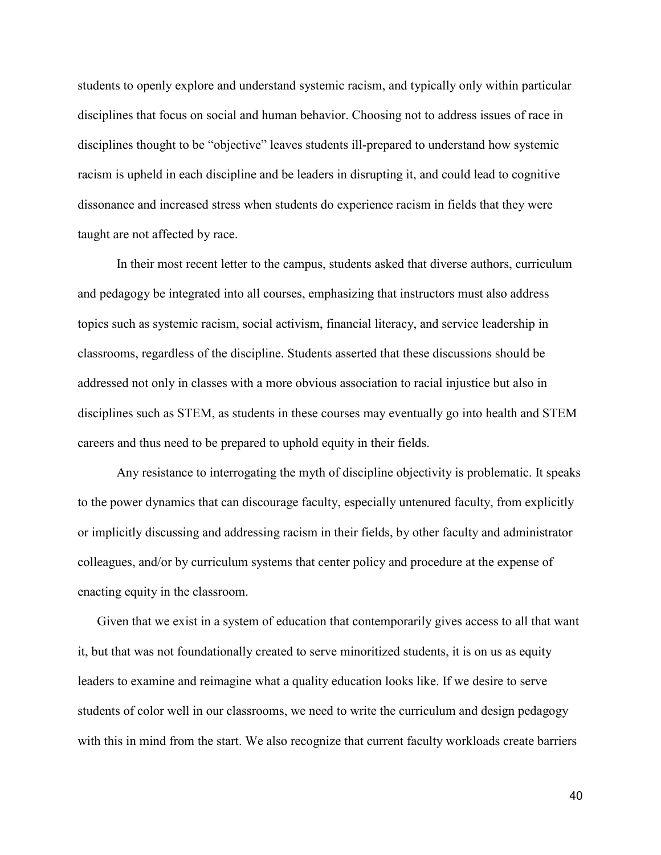students to openly explore and understand systemic racism, and typically only within particular disciplines that focus on social and human behavior. Choosing not to address issues of race in disciplines thought to be "objective" leaves students ill-prepared to understand how systemic racism is upheld in each discipline and be leaders in disrupting it, and could lead to cognitive dissonance and increased stress when students do experience racism in fields that they were taught are not affected by race.

In their most recent letter to the campus, students asked that diverse authors, curriculum and pedagogy be integrated into all courses, emphasizing that instructors must also address topics such as systemic racism, social activism, financial literacy, and service leadership in classrooms, regardless of the discipline. Students asserted that these discussions should be addressed not only in classes with a more obvious association to racial injustice but also in disciplines such as STEM, as students in these courses may eventually go into health and STEM careers and thus need to be prepared to uphold equity in their fields.

Any resistance to interrogating the myth of discipline objectivity is problematic. It speaks to the power dynamics that can discourage faculty, especially untenured faculty, from explicitly or implicitly discussing and addressing racism in their fields, by other faculty and administrator colleagues, and/or by curriculum systems that center policy and procedure at the expense of enacting equity in the classroom.

Given that we exist in a system of education that contemporarily gives access to all that want it, but that was not foundationally created to serve minoritized students, it is on us as equity leaders to examine and reimagine what a quality education looks like. If we desire to serve students of color well in our classrooms, we need to write the curriculum and design pedagogy with this in mind from the start. We also recognize that current faculty workloads create barriers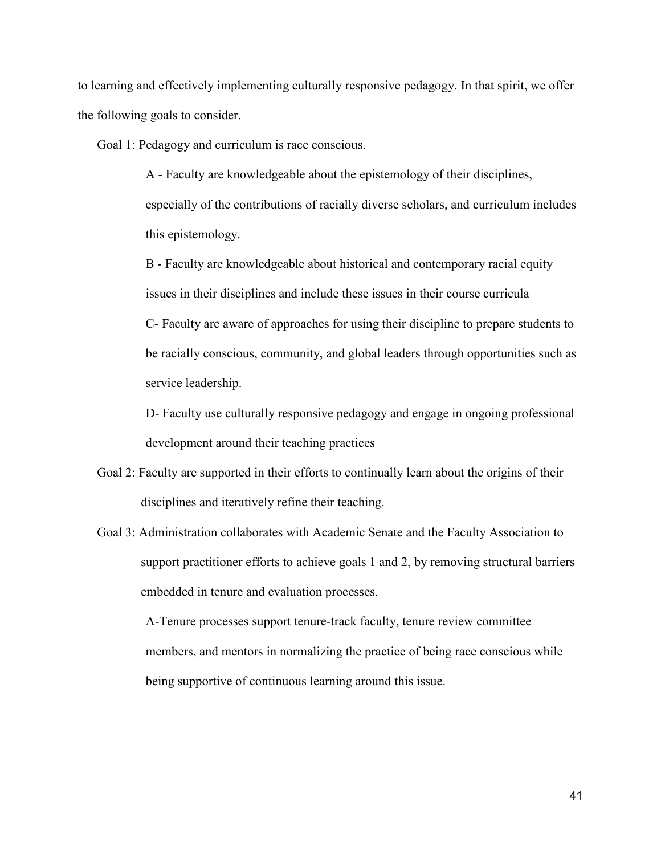to learning and effectively implementing culturally responsive pedagogy. In that spirit, we offer the following goals to consider.

Goal 1: Pedagogy and curriculum is race conscious.

A - Faculty are knowledgeable about the epistemology of their disciplines, especially of the contributions of racially diverse scholars, and curriculum includes this epistemology.

B - Faculty are knowledgeable about historical and contemporary racial equity issues in their disciplines and include these issues in their course curricula C- Faculty are aware of approaches for using their discipline to prepare students to be racially conscious, community, and global leaders through opportunities such as service leadership.

D- Faculty use culturally responsive pedagogy and engage in ongoing professional development around their teaching practices

- Goal 2: Faculty are supported in their efforts to continually learn about the origins of their disciplines and iteratively refine their teaching.
- Goal 3: Administration collaborates with Academic Senate and the Faculty Association to support practitioner efforts to achieve goals 1 and 2, by removing structural barriers embedded in tenure and evaluation processes.

A-Tenure processes support tenure-track faculty, tenure review committee members, and mentors in normalizing the practice of being race conscious while being supportive of continuous learning around this issue.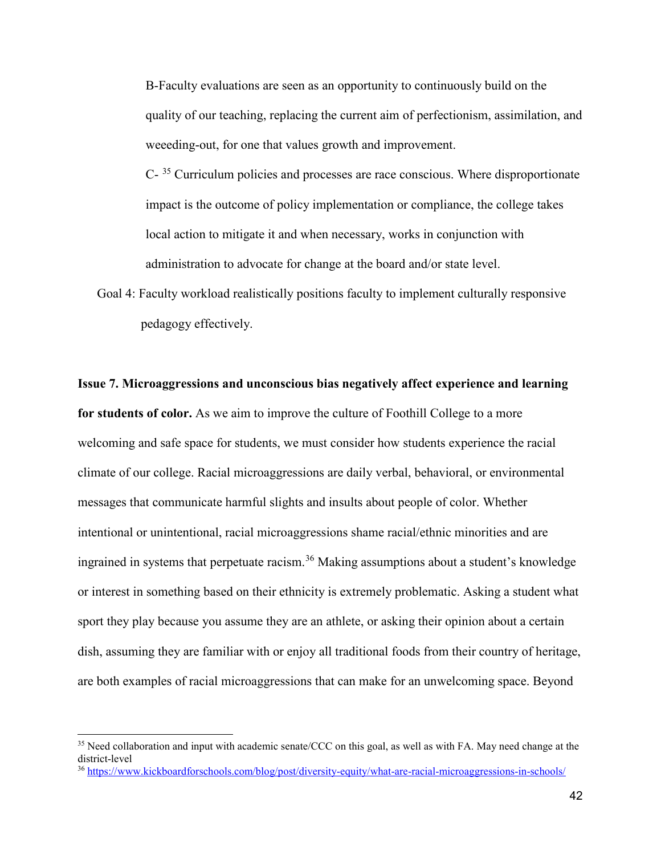B-Faculty evaluations are seen as an opportunity to continuously build on the quality of our teaching, replacing the current aim of perfectionism, assimilation, and weeeding-out, for one that values growth and improvement.

C- [35](#page-41-0) Curriculum policies and processes are race conscious. Where disproportionate impact is the outcome of policy implementation or compliance, the college takes local action to mitigate it and when necessary, works in conjunction with administration to advocate for change at the board and/or state level.

Goal 4: Faculty workload realistically positions faculty to implement culturally responsive pedagogy effectively.

**Issue 7. Microaggressions and unconscious bias negatively affect experience and learning for students of color.** As we aim to improve the culture of Foothill College to a more welcoming and safe space for students, we must consider how students experience the racial climate of our college. Racial microaggressions are daily verbal, behavioral, or environmental messages that communicate harmful slights and insults about people of color. Whether intentional or unintentional, racial microaggressions shame racial/ethnic minorities and are ingrained in systems that perpetuate racism.<sup>[36](#page-41-1)</sup> Making assumptions about a student's knowledge or interest in something based on their ethnicity is extremely problematic. Asking a student what sport they play because you assume they are an athlete, or asking their opinion about a certain dish, assuming they are familiar with or enjoy all traditional foods from their country of heritage, are both examples of racial microaggressions that can make for an unwelcoming space. Beyond

<span id="page-41-0"></span><sup>&</sup>lt;sup>35</sup> Need collaboration and input with academic senate/CCC on this goal, as well as with FA. May need change at the district-level

<span id="page-41-1"></span><sup>36</sup> <https://www.kickboardforschools.com/blog/post/diversity-equity/what-are-racial-microaggressions-in-schools/>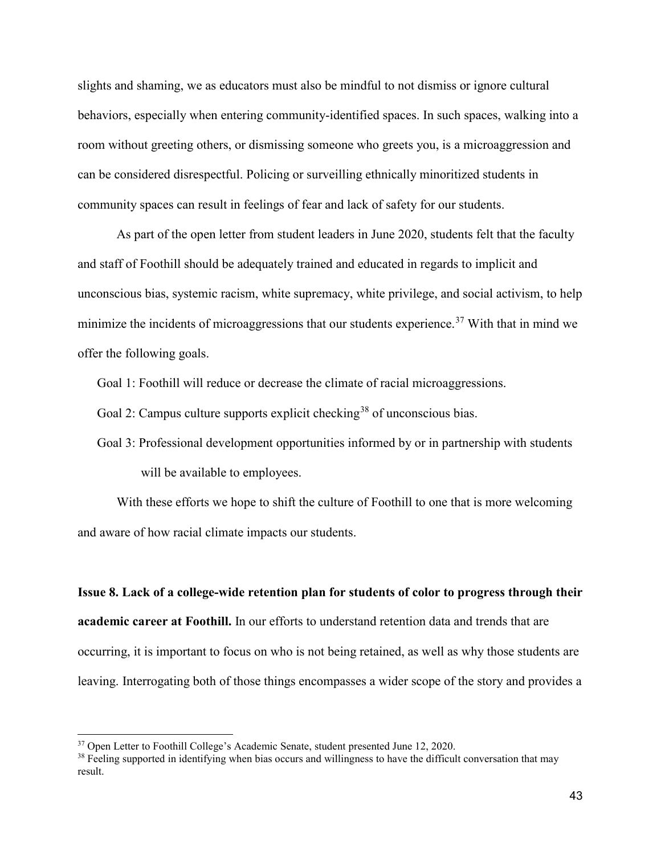slights and shaming, we as educators must also be mindful to not dismiss or ignore cultural behaviors, especially when entering community-identified spaces. In such spaces, walking into a room without greeting others, or dismissing someone who greets you, is a microaggression and can be considered disrespectful. Policing or surveilling ethnically minoritized students in community spaces can result in feelings of fear and lack of safety for our students.

As part of the open letter from student leaders in June 2020, students felt that the faculty and staff of Foothill should be adequately trained and educated in regards to implicit and unconscious bias, systemic racism, white supremacy, white privilege, and social activism, to help minimize the incidents of microaggressions that our students experience.<sup>[37](#page-42-0)</sup> With that in mind we offer the following goals.

Goal 1: Foothill will reduce or decrease the climate of racial microaggressions.

Goal 2: Campus culture supports explicit checking<sup>[38](#page-42-1)</sup> of unconscious bias.

Goal 3: Professional development opportunities informed by or in partnership with students will be available to employees.

With these efforts we hope to shift the culture of Foothill to one that is more welcoming and aware of how racial climate impacts our students.

**Issue 8. Lack of a college-wide retention plan for students of color to progress through their academic career at Foothill.** In our efforts to understand retention data and trends that are occurring, it is important to focus on who is not being retained, as well as why those students are leaving. Interrogating both of those things encompasses a wider scope of the story and provides a

<span id="page-42-0"></span><sup>&</sup>lt;sup>37</sup> Open Letter to Foothill College's Academic Senate, student presented June 12, 2020.

<span id="page-42-1"></span> $38$  Feeling supported in identifying when bias occurs and willingness to have the difficult conversation that may result.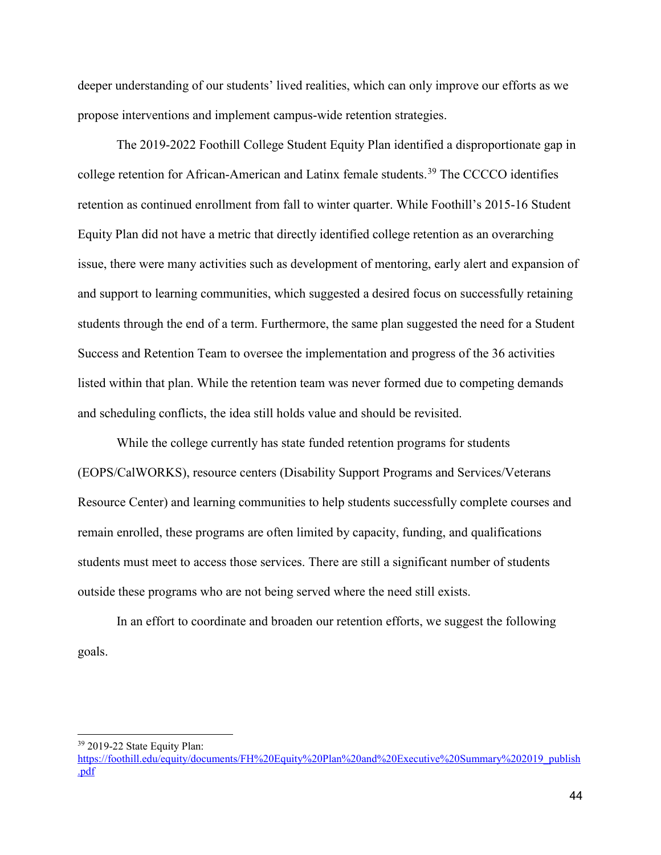deeper understanding of our students' lived realities, which can only improve our efforts as we propose interventions and implement campus-wide retention strategies.

The 2019-2022 Foothill College Student Equity Plan identified a disproportionate gap in college retention for African-American and Latinx female students.<sup>[39](#page-43-0)</sup> The CCCCO identifies retention as continued enrollment from fall to winter quarter. While Foothill's 2015-16 Student Equity Plan did not have a metric that directly identified college retention as an overarching issue, there were many activities such as development of mentoring, early alert and expansion of and support to learning communities, which suggested a desired focus on successfully retaining students through the end of a term. Furthermore, the same plan suggested the need for a Student Success and Retention Team to oversee the implementation and progress of the 36 activities listed within that plan. While the retention team was never formed due to competing demands and scheduling conflicts, the idea still holds value and should be revisited.

While the college currently has state funded retention programs for students (EOPS/CalWORKS), resource centers (Disability Support Programs and Services/Veterans Resource Center) and learning communities to help students successfully complete courses and remain enrolled, these programs are often limited by capacity, funding, and qualifications students must meet to access those services. There are still a significant number of students outside these programs who are not being served where the need still exists.

In an effort to coordinate and broaden our retention efforts, we suggest the following goals.

 $\overline{a}$ <sup>39</sup> 2019-22 State Equity Plan:

<span id="page-43-0"></span>[https://foothill.edu/equity/documents/FH%20Equity%20Plan%20and%20Executive%20Summary%202019\\_publish](https://foothill.edu/equity/documents/FH%20Equity%20Plan%20and%20Executive%20Summary%202019_publish.pdf) [.pdf](https://foothill.edu/equity/documents/FH%20Equity%20Plan%20and%20Executive%20Summary%202019_publish.pdf)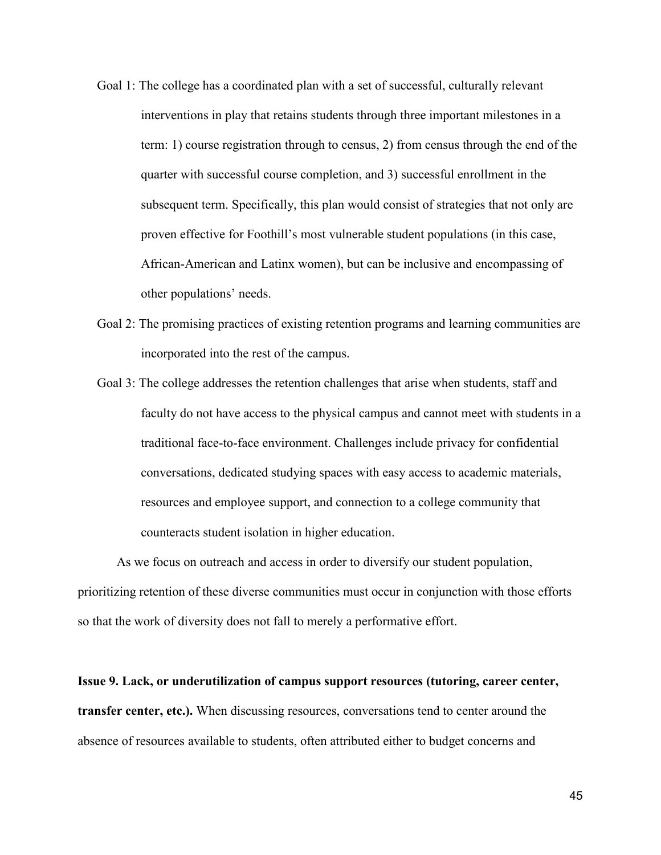- Goal 1: The college has a coordinated plan with a set of successful, culturally relevant interventions in play that retains students through three important milestones in a term: 1) course registration through to census, 2) from census through the end of the quarter with successful course completion, and 3) successful enrollment in the subsequent term. Specifically, this plan would consist of strategies that not only are proven effective for Foothill's most vulnerable student populations (in this case, African-American and Latinx women), but can be inclusive and encompassing of other populations' needs.
- Goal 2: The promising practices of existing retention programs and learning communities are incorporated into the rest of the campus.
- Goal 3: The college addresses the retention challenges that arise when students, staff and faculty do not have access to the physical campus and cannot meet with students in a traditional face-to-face environment. Challenges include privacy for confidential conversations, dedicated studying spaces with easy access to academic materials, resources and employee support, and connection to a college community that counteracts student isolation in higher education.

As we focus on outreach and access in order to diversify our student population, prioritizing retention of these diverse communities must occur in conjunction with those efforts so that the work of diversity does not fall to merely a performative effort.

**Issue 9. Lack, or underutilization of campus support resources (tutoring, career center, transfer center, etc.).** When discussing resources, conversations tend to center around the absence of resources available to students, often attributed either to budget concerns and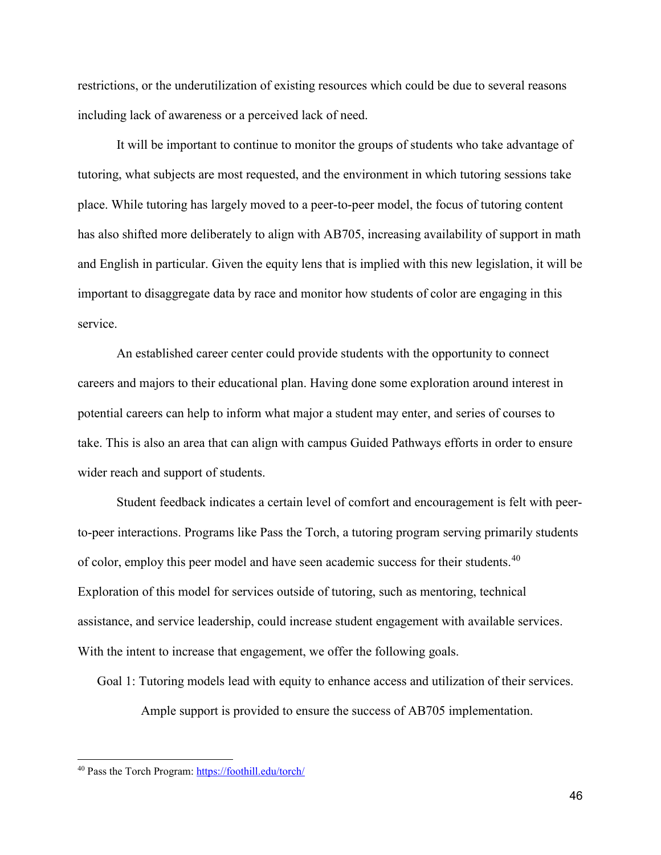restrictions, or the underutilization of existing resources which could be due to several reasons including lack of awareness or a perceived lack of need.

It will be important to continue to monitor the groups of students who take advantage of tutoring, what subjects are most requested, and the environment in which tutoring sessions take place. While tutoring has largely moved to a peer-to-peer model, the focus of tutoring content has also shifted more deliberately to align with AB705, increasing availability of support in math and English in particular. Given the equity lens that is implied with this new legislation, it will be important to disaggregate data by race and monitor how students of color are engaging in this service.

An established career center could provide students with the opportunity to connect careers and majors to their educational plan. Having done some exploration around interest in potential careers can help to inform what major a student may enter, and series of courses to take. This is also an area that can align with campus Guided Pathways efforts in order to ensure wider reach and support of students.

Student feedback indicates a certain level of comfort and encouragement is felt with peerto-peer interactions. Programs like Pass the Torch, a tutoring program serving primarily students of color, employ this peer model and have seen academic success for their students.<sup>[40](#page-45-0)</sup> Exploration of this model for services outside of tutoring, such as mentoring, technical assistance, and service leadership, could increase student engagement with available services. With the intent to increase that engagement, we offer the following goals.

Goal 1: Tutoring models lead with equity to enhance access and utilization of their services.

Ample support is provided to ensure the success of AB705 implementation.

<span id="page-45-0"></span><sup>40</sup> Pass the Torch Program:<https://foothill.edu/torch/>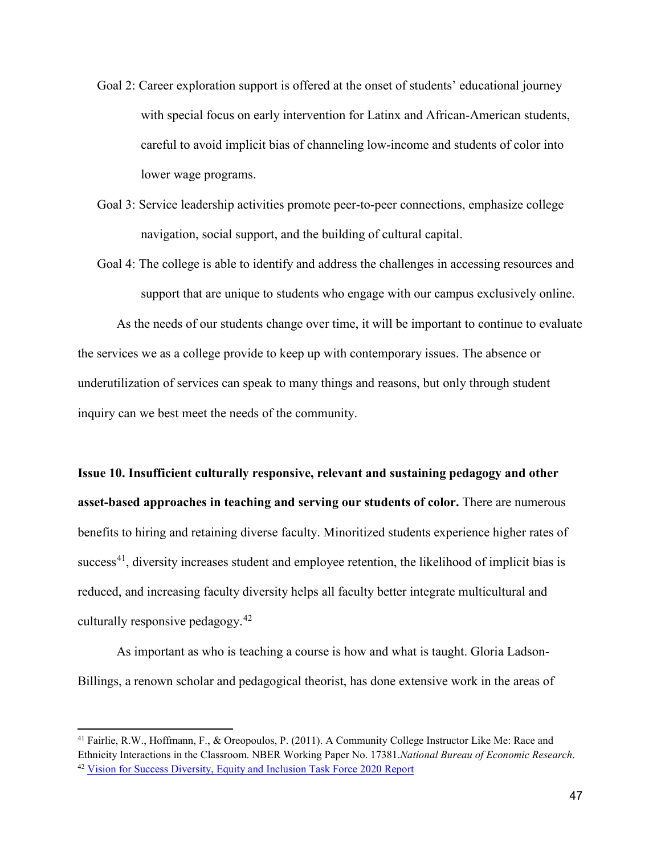- Goal 2: Career exploration support is offered at the onset of students' educational journey with special focus on early intervention for Latinx and African-American students, careful to avoid implicit bias of channeling low-income and students of color into lower wage programs.
- Goal 3: Service leadership activities promote peer-to-peer connections, emphasize college navigation, social support, and the building of cultural capital.
- Goal 4: The college is able to identify and address the challenges in accessing resources and support that are unique to students who engage with our campus exclusively online.

As the needs of our students change over time, it will be important to continue to evaluate the services we as a college provide to keep up with contemporary issues. The absence or underutilization of services can speak to many things and reasons, but only through student inquiry can we best meet the needs of the community.

**Issue 10. Insufficient culturally responsive, relevant and sustaining pedagogy and other asset-based approaches in teaching and serving our students of color.** There are numerous benefits to hiring and retaining diverse faculty. Minoritized students experience higher rates of success<sup>41</sup>, diversity increases student and employee retention, the likelihood of implicit bias is reduced, and increasing faculty diversity helps all faculty better integrate multicultural and culturally responsive pedagogy.[42](#page-46-1)

As important as who is teaching a course is how and what is taught. Gloria Ladson-Billings, a renown scholar and pedagogical theorist, has done extensive work in the areas of

<span id="page-46-1"></span><span id="page-46-0"></span><sup>41</sup> Fairlie, R.W., Hoffmann, F., & Oreopoulos, P. (2011). A Community College Instructor Like Me: Race and Ethnicity Interactions in the Classroom. NBER Working Paper No. 17381.*National Bureau of Economic Research*. <sup>42</sup> [Vision for Success Diversity, Equity and Inclusion Task Force 2020 Report](https://www.cccco.edu/-/media/CCCCO-Website/Reports/CCCCO_DEI_Report.pdf?la=en&hash=69E11E4DAB1DEBA3181E053BEE89E7BC3A709BEE)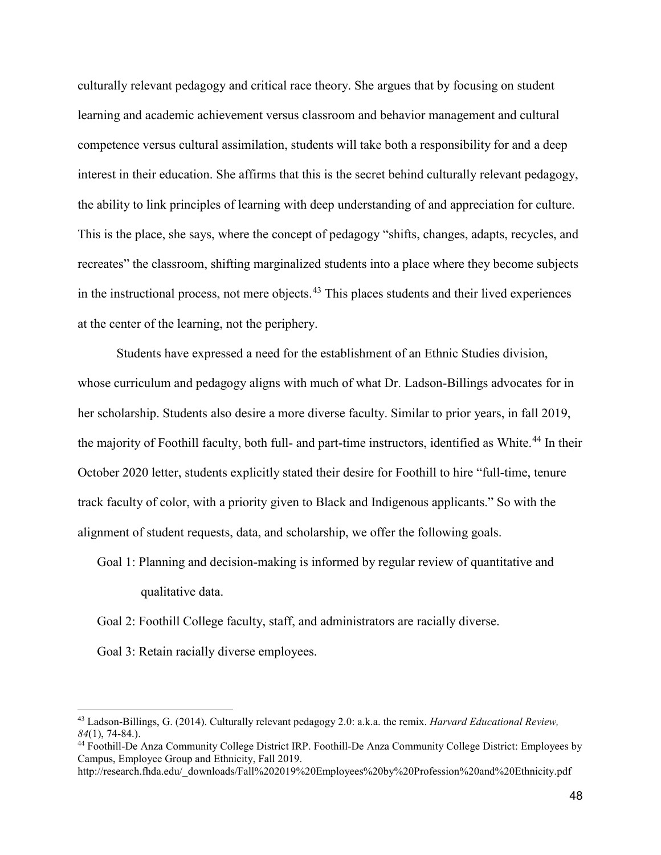culturally relevant pedagogy and critical race theory. She argues that by focusing on student learning and academic achievement versus classroom and behavior management and cultural competence versus cultural assimilation, students will take both a responsibility for and a deep interest in their education. She affirms that this is the secret behind culturally relevant pedagogy, the ability to link principles of learning with deep understanding of and appreciation for culture. This is the place, she says, where the concept of pedagogy "shifts, changes, adapts, recycles, and recreates" the classroom, shifting marginalized students into a place where they become subjects in the instructional process, not mere objects.  $43$  This places students and their lived experiences at the center of the learning, not the periphery.

Students have expressed a need for the establishment of an Ethnic Studies division, whose curriculum and pedagogy aligns with much of what Dr. Ladson-Billings advocates for in her scholarship. Students also desire a more diverse faculty. Similar to prior years, in fall 2019, the majority of Foothill faculty, both full- and part-time instructors, identified as White.<sup>[44](#page-47-1)</sup> In their October 2020 letter, students explicitly stated their desire for Foothill to hire "full-time, tenure track faculty of color, with a priority given to Black and Indigenous applicants." So with the alignment of student requests, data, and scholarship, we offer the following goals.

Goal 1: Planning and decision-making is informed by regular review of quantitative and qualitative data.

Goal 2: Foothill College faculty, staff, and administrators are racially diverse.

Goal 3: Retain racially diverse employees.

<span id="page-47-0"></span><sup>43</sup> Ladson-Billings, G. (2014). Culturally relevant pedagogy 2.0: a.k.a. the remix. *Harvard Educational Review, 84*(1), 74-84.).

<span id="page-47-1"></span><sup>44</sup> Foothill-De Anza Community College District IRP. Foothill-De Anza Community College District: Employees by Campus, Employee Group and Ethnicity, Fall 2019.

http://research.fhda.edu/\_downloads/Fall%202019%20Employees%20by%20Profession%20and%20Ethnicity.pdf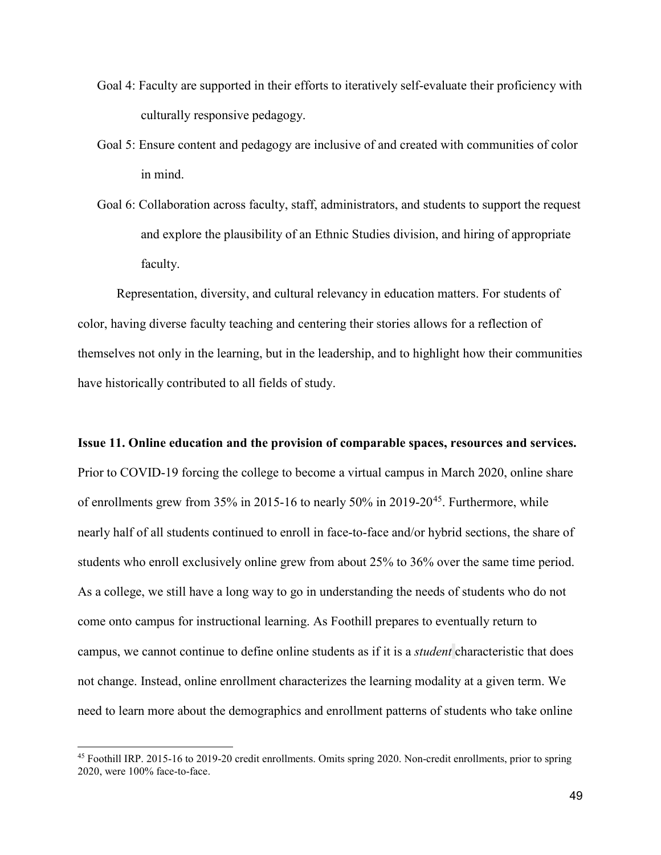- Goal 4: Faculty are supported in their efforts to iteratively self-evaluate their proficiency with culturally responsive pedagogy.
- Goal 5: Ensure content and pedagogy are inclusive of and created with communities of color in mind.
- Goal 6: Collaboration across faculty, staff, administrators, and students to support the request and explore the plausibility of an Ethnic Studies division, and hiring of appropriate faculty.

Representation, diversity, and cultural relevancy in education matters. For students of color, having diverse faculty teaching and centering their stories allows for a reflection of themselves not only in the learning, but in the leadership, and to highlight how their communities have historically contributed to all fields of study.

**Issue 11. Online education and the provision of comparable spaces, resources and services.** Prior to COVID-19 forcing the college to become a virtual campus in March 2020, online share of enrollments grew from 35% in 2015-16 to nearly 50% in 2019-20<sup>45</sup>. Furthermore, while nearly half of all students continued to enroll in face-to-face and/or hybrid sections, the share of students who enroll exclusively online grew from about 25% to 36% over the same time period. As a college, we still have a long way to go in understanding the needs of students who do not come onto campus for instructional learning. As Foothill prepares to eventually return to campus, we cannot continue to define online students as if it is a *student* characteristic that does not change. Instead, online enrollment characterizes the learning modality at a given term. We need to learn more about the demographics and enrollment patterns of students who take online

<span id="page-48-0"></span> $45$  Foothill IRP. 2015-16 to 2019-20 credit enrollments. Omits spring 2020. Non-credit enrollments, prior to spring 2020, were 100% face-to-face.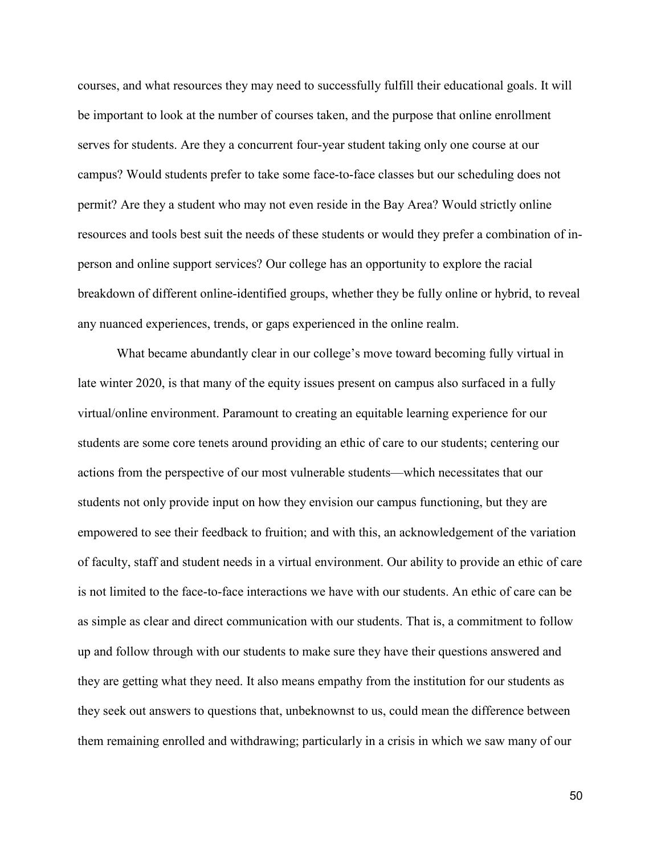courses, and what resources they may need to successfully fulfill their educational goals. It will be important to look at the number of courses taken, and the purpose that online enrollment serves for students. Are they a concurrent four-year student taking only one course at our campus? Would students prefer to take some face-to-face classes but our scheduling does not permit? Are they a student who may not even reside in the Bay Area? Would strictly online resources and tools best suit the needs of these students or would they prefer a combination of inperson and online support services? Our college has an opportunity to explore the racial breakdown of different online-identified groups, whether they be fully online or hybrid, to reveal any nuanced experiences, trends, or gaps experienced in the online realm.

What became abundantly clear in our college's move toward becoming fully virtual in late winter 2020, is that many of the equity issues present on campus also surfaced in a fully virtual/online environment. Paramount to creating an equitable learning experience for our students are some core tenets around providing an ethic of care to our students; centering our actions from the perspective of our most vulnerable students—which necessitates that our students not only provide input on how they envision our campus functioning, but they are empowered to see their feedback to fruition; and with this, an acknowledgement of the variation of faculty, staff and student needs in a virtual environment. Our ability to provide an ethic of care is not limited to the face-to-face interactions we have with our students. An ethic of care can be as simple as clear and direct communication with our students. That is, a commitment to follow up and follow through with our students to make sure they have their questions answered and they are getting what they need. It also means empathy from the institution for our students as they seek out answers to questions that, unbeknownst to us, could mean the difference between them remaining enrolled and withdrawing; particularly in a crisis in which we saw many of our

50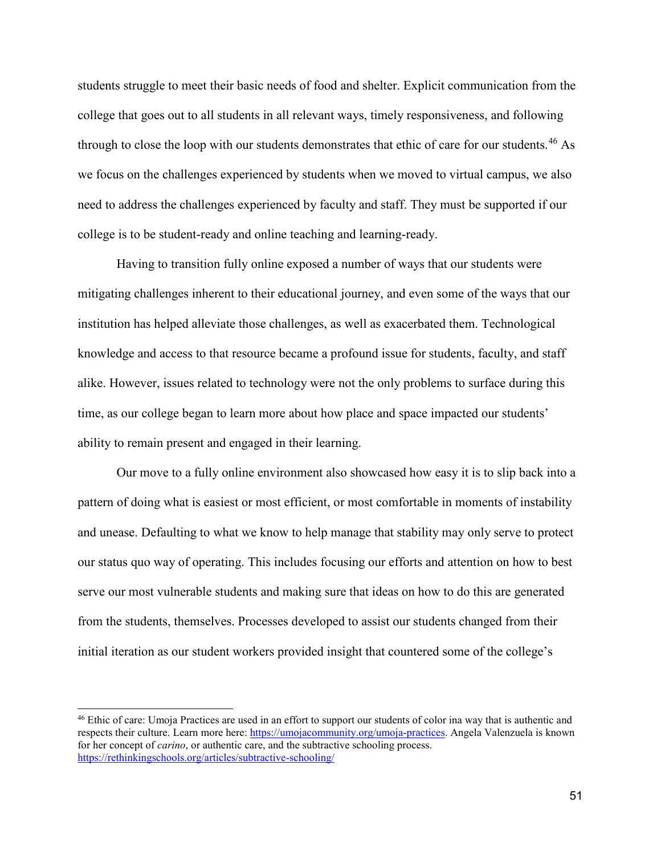students struggle to meet their basic needs of food and shelter. Explicit communication from the college that goes out to all students in all relevant ways, timely responsiveness, and following through to close the loop with our students demonstrates that ethic of care for our students.<sup>[46](#page-50-0)</sup> As we focus on the challenges experienced by students when we moved to virtual campus, we also need to address the challenges experienced by faculty and staff. They must be supported if our college is to be student-ready and online teaching and learning-ready.

Having to transition fully online exposed a number of ways that our students were mitigating challenges inherent to their educational journey, and even some of the ways that our institution has helped alleviate those challenges, as well as exacerbated them. Technological knowledge and access to that resource became a profound issue for students, faculty, and staff alike. However, issues related to technology were not the only problems to surface during this time, as our college began to learn more about how place and space impacted our students' ability to remain present and engaged in their learning.

Our move to a fully online environment also showcased how easy it is to slip back into a pattern of doing what is easiest or most efficient, or most comfortable in moments of instability and unease. Defaulting to what we know to help manage that stability may only serve to protect our status quo way of operating. This includes focusing our efforts and attention on how to best serve our most vulnerable students and making sure that ideas on how to do this are generated from the students, themselves. Processes developed to assist our students changed from their initial iteration as our student workers provided insight that countered some of the college's

<span id="page-50-0"></span><sup>46</sup> Ethic of care: Umoja Practices are used in an effort to support our students of color ina way that is authentic and respects their culture. Learn more here[: https://umojacommunity.org/umoja-practices.](https://umojacommunity.org/umoja-practices) Angela Valenzuela is known for her concept of *carino*, or authentic care, and the subtractive schooling process. <https://rethinkingschools.org/articles/subtractive-schooling/>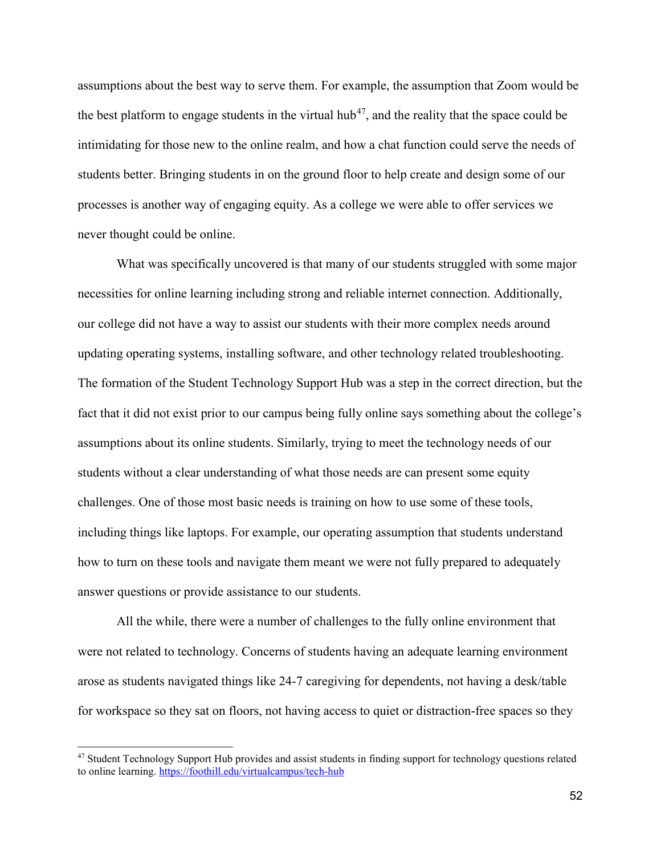assumptions about the best way to serve them. For example, the assumption that Zoom would be the best platform to engage students in the virtual hub<sup>47</sup>, and the reality that the space could be intimidating for those new to the online realm, and how a chat function could serve the needs of students better. Bringing students in on the ground floor to help create and design some of our processes is another way of engaging equity. As a college we were able to offer services we never thought could be online.

What was specifically uncovered is that many of our students struggled with some major necessities for online learning including strong and reliable internet connection. Additionally, our college did not have a way to assist our students with their more complex needs around updating operating systems, installing software, and other technology related troubleshooting. The formation of the Student Technology Support Hub was a step in the correct direction, but the fact that it did not exist prior to our campus being fully online says something about the college's assumptions about its online students. Similarly, trying to meet the technology needs of our students without a clear understanding of what those needs are can present some equity challenges. One of those most basic needs is training on how to use some of these tools, including things like laptops. For example, our operating assumption that students understand how to turn on these tools and navigate them meant we were not fully prepared to adequately answer questions or provide assistance to our students.

All the while, there were a number of challenges to the fully online environment that were not related to technology. Concerns of students having an adequate learning environment arose as students navigated things like 24-7 caregiving for dependents, not having a desk/table for workspace so they sat on floors, not having access to quiet or distraction-free spaces so they

<span id="page-51-0"></span><sup>&</sup>lt;sup>47</sup> Student Technology Support Hub provides and assist students in finding support for technology questions related to online learning.<https://foothill.edu/virtualcampus/tech-hub>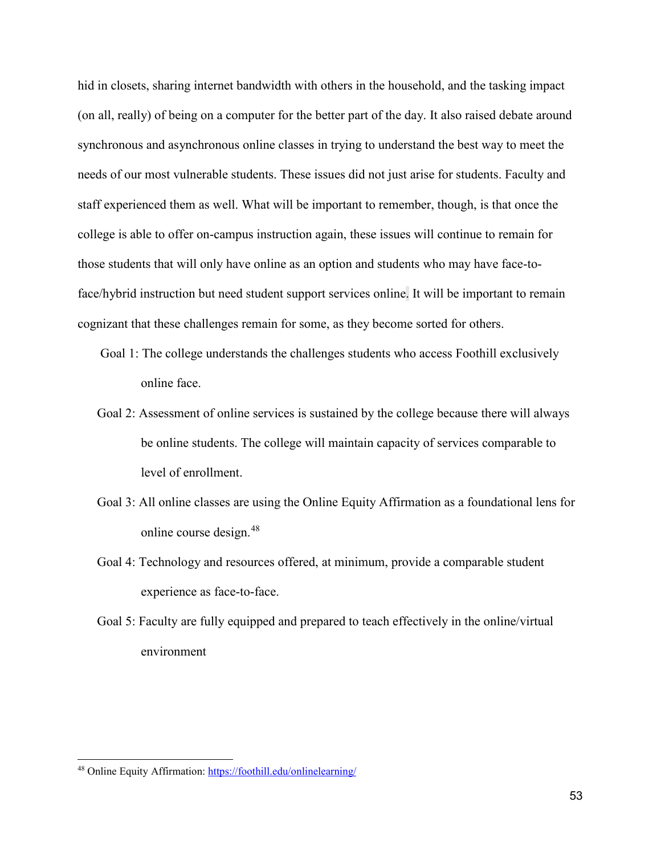hid in closets, sharing internet bandwidth with others in the household, and the tasking impact (on all, really) of being on a computer for the better part of the day. It also raised debate around synchronous and asynchronous online classes in trying to understand the best way to meet the needs of our most vulnerable students. These issues did not just arise for students. Faculty and staff experienced them as well. What will be important to remember, though, is that once the college is able to offer on-campus instruction again, these issues will continue to remain for those students that will only have online as an option and students who may have face-toface/hybrid instruction but need student support services online. It will be important to remain cognizant that these challenges remain for some, as they become sorted for others.

- Goal 1: The college understands the challenges students who access Foothill exclusively online face.
- Goal 2: Assessment of online services is sustained by the college because there will always be online students. The college will maintain capacity of services comparable to level of enrollment.
- Goal 3: All online classes are using the Online Equity Affirmation as a foundational lens for online course design.[48](#page-52-0)
- Goal 4: Technology and resources offered, at minimum, provide a comparable student experience as face-to-face.
- Goal 5: Faculty are fully equipped and prepared to teach effectively in the online/virtual environment

<span id="page-52-0"></span><sup>48</sup> Online Equity Affirmation: <https://foothill.edu/onlinelearning/>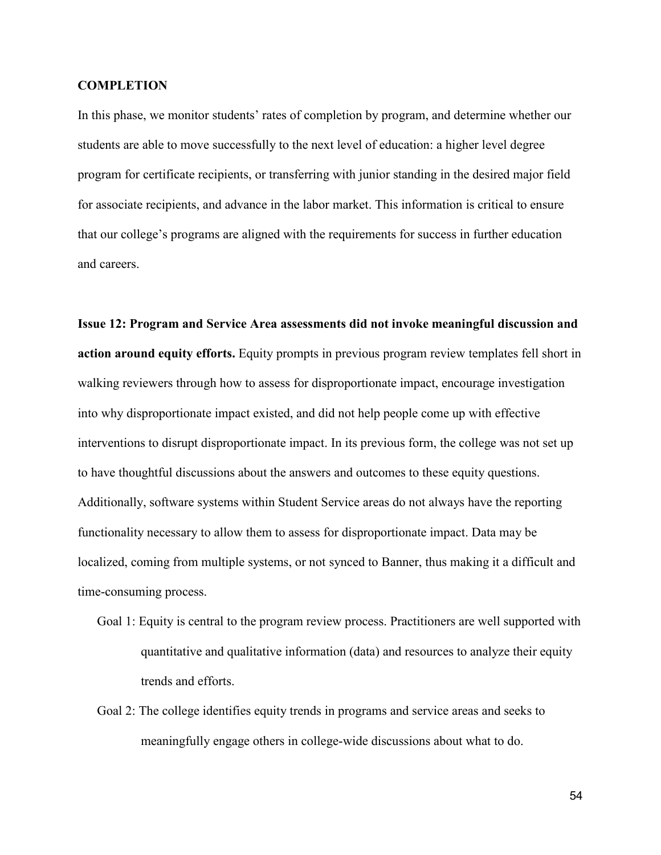### **COMPLETION**

In this phase, we monitor students' rates of completion by program, and determine whether our students are able to move successfully to the next level of education: a higher level degree program for certificate recipients, or transferring with junior standing in the desired major field for associate recipients, and advance in the labor market. This information is critical to ensure that our college's programs are aligned with the requirements for success in further education and careers.

**Issue 12: Program and Service Area assessments did not invoke meaningful discussion and action around equity efforts.** Equity prompts in previous program review templates fell short in walking reviewers through how to assess for disproportionate impact, encourage investigation into why disproportionate impact existed, and did not help people come up with effective interventions to disrupt disproportionate impact. In its previous form, the college was not set up to have thoughtful discussions about the answers and outcomes to these equity questions. Additionally, software systems within Student Service areas do not always have the reporting functionality necessary to allow them to assess for disproportionate impact. Data may be localized, coming from multiple systems, or not synced to Banner, thus making it a difficult and time-consuming process.

- Goal 1: Equity is central to the program review process. Practitioners are well supported with quantitative and qualitative information (data) and resources to analyze their equity trends and efforts.
- Goal 2: The college identifies equity trends in programs and service areas and seeks to meaningfully engage others in college-wide discussions about what to do.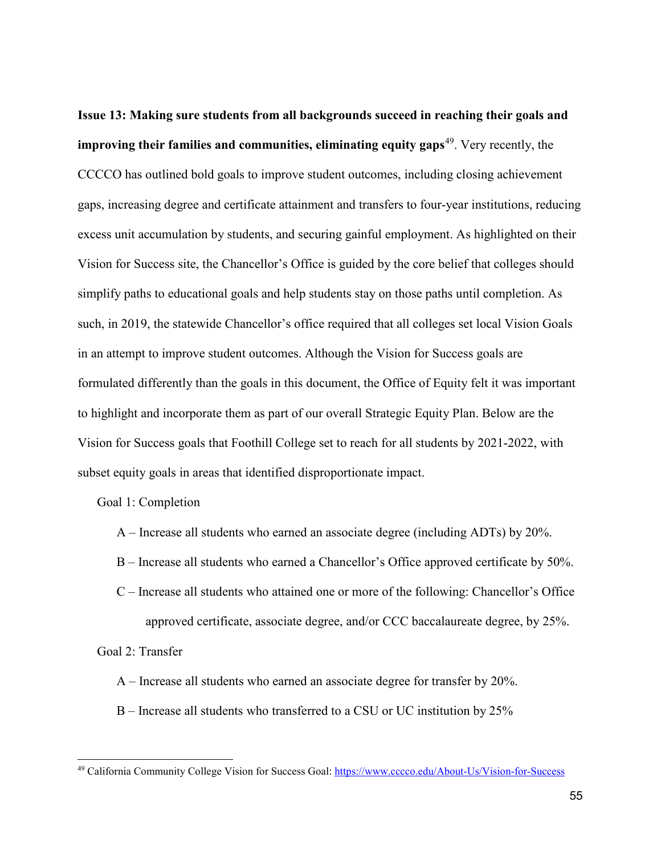**Issue 13: Making sure students from all backgrounds succeed in reaching their goals and improving their families and communities, eliminating equity gaps**[49.](#page-54-0) Very recently, the CCCCO has outlined bold goals to improve student outcomes, including closing achievement gaps, increasing degree and certificate attainment and transfers to four-year institutions, reducing excess unit accumulation by students, and securing gainful employment. As highlighted on their Vision for Success site, the Chancellor's Office is guided by the core belief that colleges should simplify paths to educational goals and help students stay on those paths until completion. As such, in 2019, the statewide Chancellor's office required that all colleges set local Vision Goals in an attempt to improve student outcomes. Although the Vision for Success goals are formulated differently than the goals in this document, the Office of Equity felt it was important to highlight and incorporate them as part of our overall Strategic Equity Plan. Below are the Vision for Success goals that Foothill College set to reach for all students by 2021-2022, with subset equity goals in areas that identified disproportionate impact.

# Goal 1: Completion

- A Increase all students who earned an associate degree (including ADTs) by 20%.
- B Increase all students who earned a Chancellor's Office approved certificate by 50%.
- C Increase all students who attained one or more of the following: Chancellor's Office approved certificate, associate degree, and/or CCC baccalaureate degree, by 25%.

Goal 2: Transfer

- A Increase all students who earned an associate degree for transfer by 20%.
- B Increase all students who transferred to a CSU or UC institution by 25%

<span id="page-54-0"></span><sup>49</sup> California Community College Vision for Success Goal:<https://www.cccco.edu/About-Us/Vision-for-Success>